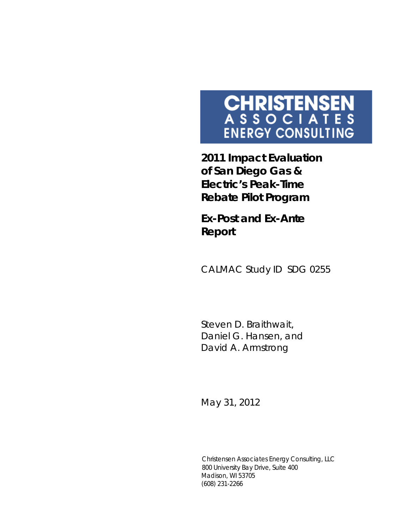# **CHRISTENSEN**<br>A S S O C I A T E S<br>ENERGY CONSULTING

**2011 Impact Evaluation of San Diego Gas & Electric's Peak-Time Rebate Pilot Program** 

*Ex-Post and Ex-Ante Report*

CALMAC Study ID SDG 0255

Steven D. Braithwait, Daniel G. Hansen, and David A. Armstrong

May 31, 2012

Christensen Associates Energy Consulting, LLC 800 University Bay Drive, Suite 400 Madison, WI 53705 (608) 231-2266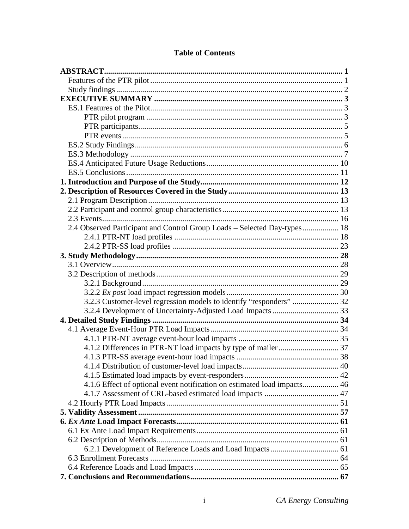| 2.4 Observed Participant and Control Group Loads - Selected Day-types 18 |  |
|--------------------------------------------------------------------------|--|
|                                                                          |  |
|                                                                          |  |
|                                                                          |  |
|                                                                          |  |
|                                                                          |  |
|                                                                          |  |
|                                                                          |  |
| 3.2.3 Customer-level regression models to identify "responders"  32      |  |
|                                                                          |  |
|                                                                          |  |
|                                                                          |  |
|                                                                          |  |
|                                                                          |  |
|                                                                          |  |
|                                                                          |  |
|                                                                          |  |
| 4.1.6 Effect of optional event notification on estimated load impacts 46 |  |
|                                                                          |  |
|                                                                          |  |
|                                                                          |  |
|                                                                          |  |
|                                                                          |  |
|                                                                          |  |
|                                                                          |  |
|                                                                          |  |
|                                                                          |  |
|                                                                          |  |

# **Table of Contents**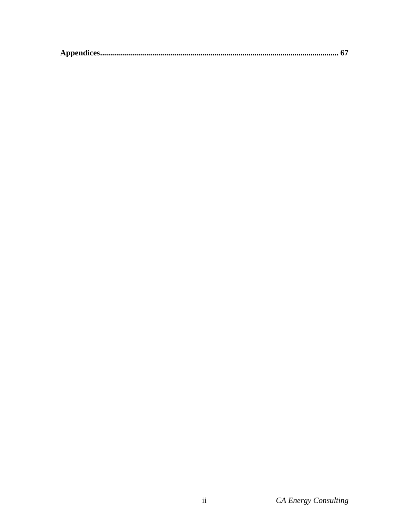|--|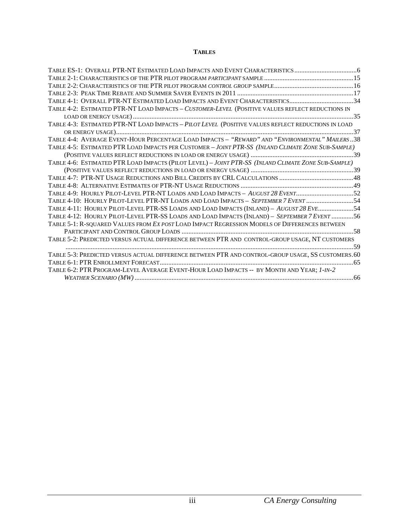#### **TABLES**

| TABLE ES-1: OVERALL PTR-NT ESTIMATED LOAD IMPACTS AND EVENT CHARACTERISTICS                         |
|-----------------------------------------------------------------------------------------------------|
|                                                                                                     |
|                                                                                                     |
|                                                                                                     |
| TABLE 4-1: OVERALL PTR-NT ESTIMATED LOAD IMPACTS AND EVENT CHARACTERISTICS34                        |
| TABLE 4-2: ESTIMATED PTR-NT LOAD IMPACTS - CUSTOMER-LEVEL (POSITIVE VALUES REFLECT REDUCTIONS IN    |
|                                                                                                     |
| TABLE 4-3: ESTIMATED PTR-NT LOAD IMPACTS - PILOT LEVEL (POSITIVE VALUES REFLECT REDUCTIONS IN LOAD  |
|                                                                                                     |
| TABLE 4-4: AVERAGE EVENT-HOUR PERCENTAGE LOAD IMPACTS - "REWARD" AND "ENVIRONMENTAL" MAILERS38      |
| TABLE 4-5: ESTIMATED PTR LOAD IMPACTS PER CUSTOMER - JOINT PTR-SS (INLAND CLIMATE ZONE SUB-SAMPLE)  |
|                                                                                                     |
| TABLE 4-6: ESTIMATED PTR LOAD IMPACTS (PILOT LEVEL) - JOINT PTR-SS (INLAND CLIMATE ZONE SUB-SAMPLE) |
|                                                                                                     |
|                                                                                                     |
|                                                                                                     |
| TABLE 4-9: HOURLY PILOT-LEVEL PTR-NT LOADS AND LOAD IMPACTS - AUGUST 28 EVENT 52                    |
| TABLE 4-10: HOURLY PILOT-LEVEL PTR-NT LOADS AND LOAD IMPACTS - SEPTEMBER 7 EVENT 54                 |
| TABLE 4-11: HOURLY PILOT-LEVEL PTR-SS LOADS AND LOAD IMPACTS (INLAND) - AUGUST 28 EVE 54            |
| TABLE 4-12: HOURLY PILOT-LEVEL PTR-SS LOADS AND LOAD IMPACTS (INLAND) - SEPTEMBER 7 EVENT 56        |
| TABLE 5-1: R-SQUARED VALUES FROM EX POST LOAD IMPACT REGRESSION MODELS OF DIFFERENCES BETWEEN       |
|                                                                                                     |
| TABLE 5-2: PREDICTED VERSUS ACTUAL DIFFERENCE BETWEEN PTR AND CONTROL-GROUP USAGE, NT CUSTOMERS     |
|                                                                                                     |
| TABLE 5-3: PREDICTED VERSUS ACTUAL DIFFERENCE BETWEEN PTR AND CONTROL-GROUP USAGE, SS CUSTOMERS.60  |
|                                                                                                     |
| TABLE 6-2: PTR PROGRAM-LEVEL AVERAGE EVENT-HOUR LOAD IMPACTS -- BY MONTH AND YEAR; 1-IN-2           |
|                                                                                                     |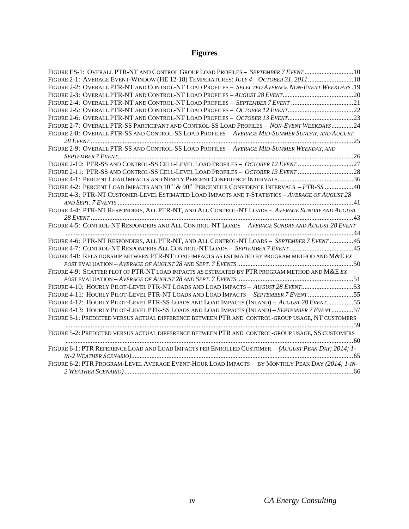# **Figures**

| FIGURE ES-1: OVERALL PTR-NT AND CONTROL GROUP LOAD PROFILES - SEPTEMBER 7 EVENT  10                      |  |
|----------------------------------------------------------------------------------------------------------|--|
| FIGURE 2-1: AVERAGE EVENT-WINDOW (HE 12-18) TEMPERATURES: JULY 4 - OCTOBER 31, 2011 18                   |  |
| FIGURE 2-2: OVERALL PTR-NT AND CONTROL-NT LOAD PROFILES - SELECTED AVERAGE NON-EVENT WEEKDAYS .19        |  |
|                                                                                                          |  |
| FIGURE 2-4: OVERALL PTR-NT AND CONTROL-NT LOAD PROFILES - SEPTEMBER 7 EVENT 21                           |  |
|                                                                                                          |  |
|                                                                                                          |  |
| FIGURE 2-7: OVERALL PTR-SS PARTICIPANT AND CONTROL-SS LOAD PROFILES - NON-EVENT WEEKDAYS24               |  |
| FIGURE 2-8: OVERALL PTR-SS AND CONTROL-SS LOAD PROFILES - AVERAGE MID-SUMMER SUNDAY, AND AUGUST          |  |
|                                                                                                          |  |
| FIGURE 2-9: OVERALL PTR-SS AND CONTROL-SS LOAD PROFILES - AVERAGE MID-SUMMER WEEKDAY, AND                |  |
|                                                                                                          |  |
| FIGURE 2-10: PTR-SS AND CONTROL-SS CELL-LEVEL LOAD PROFILES - OCTOBER 12 EVENT 27                        |  |
| FIGURE 2-11: PTR-SS AND CONTROL-SS CELL-LEVEL LOAD PROFILES - OCTOBER 13 EVENT 28                        |  |
|                                                                                                          |  |
| FIGURE 4-2: PERCENT LOAD IMPACTS AND $10^{7H}$ & $90^{7H}$ PERCENTILE CONFIDENCE INTERVALS $-$ PTR-SS 40 |  |
| FIGURE 4-3: PTR-NT CUSTOMER-LEVEL ESTIMATED LOAD IMPACTS AND T-STATISTICS - AVERAGE OF AUGUST 28         |  |
|                                                                                                          |  |
| FIGURE 4-4: PTR-NT RESPONDERS, ALL PTR-NT, AND ALL CONTROL-NT LOADS - AVERAGE SUNDAY AND AUGUST          |  |
|                                                                                                          |  |
| FIGURE 4-5: CONTROL-NT RESPONDERS AND ALL CONTROL-NT LOADS - AVERAGE SUNDAY AND AUGUST 28 EVENT          |  |
|                                                                                                          |  |
| FIGURE 4-6: PTR-NT RESPONDERS, ALL PTR-NT, AND ALL CONTROL-NT LOADS - SEPTEMBER 7 EVENT 45               |  |
| FIGURE 4-7: CONTROL-NT RESPONDERS ALL CONTROL-NT LOADS - SEPTEMBER 7 EVENT  45                           |  |
| FIGURE 4-8: RELATIONSHIP BETWEEN PTR-NT LOAD IMPACTS AS ESTIMATED BY PROGRAM METHOD AND M&E EX           |  |
|                                                                                                          |  |
| FIGURE 4-9: SCATTER PLOT OF PTR-NT LOAD IMPACTS AS ESTIMATED BY PTR PROGRAM METHOD AND M&E EX            |  |
|                                                                                                          |  |
| FIGURE 4-10: HOURLY PILOT-LEVEL PTR-NT LOADS AND LOAD IMPACTS - AUGUST 28 EVENT53                        |  |
| FIGURE 4-11: HOURLY PILOT-LEVEL PTR-NT LOADS AND LOAD IMPACTS - SEPTEMBER 7 EVENT 55                     |  |
| FIGURE 4-12: HOURLY PILOT-LEVEL PTR-SS LOADS AND LOAD IMPACTS (INLAND) - AUGUST 28 EVENT55               |  |
| FIGURE 4-13: HOURLY PILOT-LEVEL PTR-SS LOADS AND LOAD IMPACTS (INLAND) - SEPTEMBER 7 EVENT57             |  |
| FIGURE 5-1: PREDICTED VERSUS ACTUAL DIFFERENCE BETWEEN PTR AND CONTROL-GROUP USAGE, NT CUSTOMERS         |  |
| FIGURE 5-2: PREDICTED VERSUS ACTUAL DIFFERENCE BETWEEN PTR AND CONTROL-GROUP USAGE, SS CUSTOMERS         |  |
|                                                                                                          |  |
| FIGURE 6-1: PTR REFERENCE LOAD AND LOAD IMPACTS PER ENROLLED CUSTOMER - (AUGUST PEAK DAY; 2014; 1-       |  |
|                                                                                                          |  |
| FIGURE 6-2: PTR PROGRAM-LEVEL AVERAGE EVENT-HOUR LOAD IMPACTS - BY MONTHLY PEAK DAY (2014; 1-IN-         |  |
|                                                                                                          |  |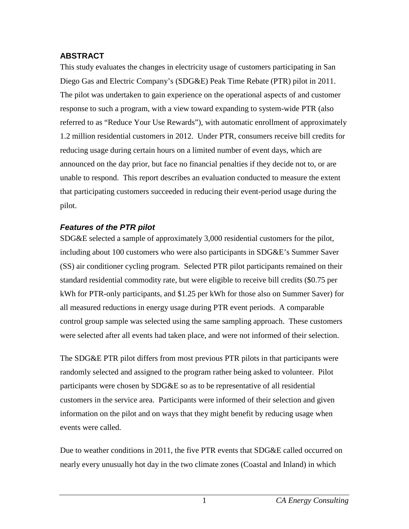## <span id="page-5-0"></span>**ABSTRACT**

This study evaluates the changes in electricity usage of customers participating in San Diego Gas and Electric Company's (SDG&E) Peak Time Rebate (PTR) pilot in 2011. The pilot was undertaken to gain experience on the operational aspects of and customer response to such a program, with a view toward expanding to system-wide PTR (also referred to as "Reduce Your Use Rewards"), with automatic enrollment of approximately 1.2 million residential customers in 2012. Under PTR, consumers receive bill credits for reducing usage during certain hours on a limited number of event days, which are announced on the day prior, but face no financial penalties if they decide not to, or are unable to respond. This report describes an evaluation conducted to measure the extent that participating customers succeeded in reducing their event-period usage during the pilot.

## <span id="page-5-1"></span>*Features of the PTR pilot*

SDG&E selected a sample of approximately 3,000 residential customers for the pilot, including about 100 customers who were also participants in SDG&E's Summer Saver (SS) air conditioner cycling program. Selected PTR pilot participants remained on their standard residential commodity rate, but were eligible to receive bill credits (\$0.75 per kWh for PTR-only participants, and \$1.25 per kWh for those also on Summer Saver) for all measured reductions in energy usage during PTR event periods. A comparable control group sample was selected using the same sampling approach. These customers were selected after all events had taken place, and were not informed of their selection.

The SDG&E PTR pilot differs from most previous PTR pilots in that participants were randomly selected and assigned to the program rather being asked to volunteer. Pilot participants were chosen by SDG&E so as to be representative of all residential customers in the service area. Participants were informed of their selection and given information on the pilot and on ways that they might benefit by reducing usage when events were called.

Due to weather conditions in 2011, the five PTR events that SDG&E called occurred on nearly every unusually hot day in the two climate zones (Coastal and Inland) in which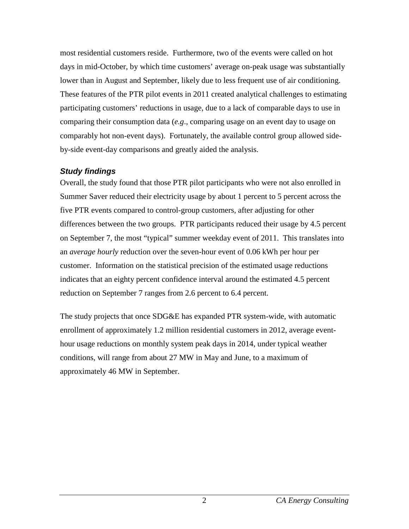most residential customers reside. Furthermore, two of the events were called on hot days in mid-October, by which time customers' average on-peak usage was substantially lower than in August and September, likely due to less frequent use of air conditioning. These features of the PTR pilot events in 2011 created analytical challenges to estimating participating customers' reductions in usage, due to a lack of comparable days to use in comparing their consumption data (*e.g*., comparing usage on an event day to usage on comparably hot non-event days). Fortunately, the available control group allowed sideby-side event-day comparisons and greatly aided the analysis.

### <span id="page-6-0"></span>*Study findings*

Overall, the study found that those PTR pilot participants who were not also enrolled in Summer Saver reduced their electricity usage by about 1 percent to 5 percent across the five PTR events compared to control-group customers, after adjusting for other differences between the two groups. PTR participants reduced their usage by 4.5 percent on September 7, the most "typical" summer weekday event of 2011. This translates into an *average hourly* reduction over the seven-hour event of 0.06 kWh per hour per customer. Information on the statistical precision of the estimated usage reductions indicates that an eighty percent confidence interval around the estimated 4.5 percent reduction on September 7 ranges from 2.6 percent to 6.4 percent.

The study projects that once SDG&E has expanded PTR system-wide, with automatic enrollment of approximately 1.2 million residential customers in 2012, average eventhour usage reductions on monthly system peak days in 2014, under typical weather conditions, will range from about 27 MW in May and June, to a maximum of approximately 46 MW in September.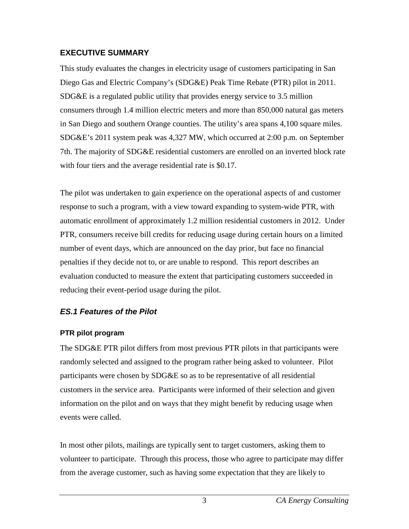#### <span id="page-7-0"></span>**EXECUTIVE SUMMARY**

This study evaluates the changes in electricity usage of customers participating in San Diego Gas and Electric Company's (SDG&E) Peak Time Rebate (PTR) pilot in 2011. SDG&E is a regulated public utility that provides energy service to 3.5 million consumers through 1.4 million electric meters and more than 850,000 natural gas meters in San Diego and southern Orange counties. The utility's area spans 4,100 square miles. SDG&E's 2011 system peak was 4,327 MW, which occurred at 2:00 p.m. on September 7th. The majority of SDG&E residential customers are enrolled on an inverted block rate with four tiers and the average residential rate is \$0.17.

The pilot was undertaken to gain experience on the operational aspects of and customer response to such a program, with a view toward expanding to system-wide PTR, with automatic enrollment of approximately 1.2 million residential customers in 2012. Under PTR, consumers receive bill credits for reducing usage during certain hours on a limited number of event days, which are announced on the day prior, but face no financial penalties if they decide not to, or are unable to respond. This report describes an evaluation conducted to measure the extent that participating customers succeeded in reducing their event-period usage during the pilot.

# <span id="page-7-1"></span>*ES.1 Features of the Pilot*

### <span id="page-7-2"></span>**PTR pilot program**

The SDG&E PTR pilot differs from most previous PTR pilots in that participants were randomly selected and assigned to the program rather being asked to volunteer. Pilot participants were chosen by SDG&E so as to be representative of all residential customers in the service area. Participants were informed of their selection and given information on the pilot and on ways that they might benefit by reducing usage when events were called.

In most other pilots, mailings are typically sent to target customers, asking them to volunteer to participate. Through this process, those who agree to participate may differ from the average customer, such as having some expectation that they are likely to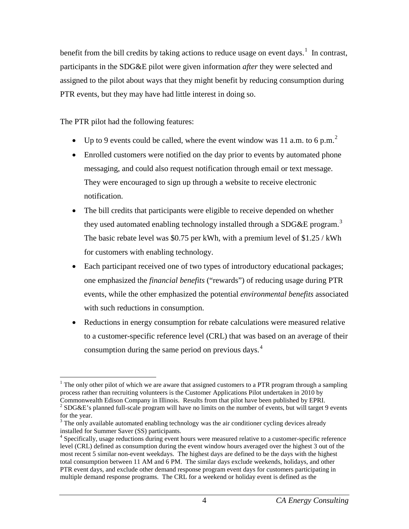benefit from the bill credits by taking actions to reduce usage on event days.<sup>[1](#page-8-0)</sup> In contrast, participants in the SDG&E pilot were given information *after* they were selected and assigned to the pilot about ways that they might benefit by reducing consumption during PTR events, but they may have had little interest in doing so.

The PTR pilot had the following features:

- Up to 9 events could be called, where the event window was 11 a.m. to 6 p.m.<sup>[2](#page-8-1)</sup>
- Enrolled customers were notified on the day prior to events by automated phone messaging, and could also request notification through email or text message. They were encouraged to sign up through a website to receive electronic notification.
- The bill credits that participants were eligible to receive depended on whether they used automated enabling technology installed through a SDG&E program.<sup>[3](#page-8-2)</sup> The basic rebate level was \$0.75 per kWh, with a premium level of \$1.25 / kWh for customers with enabling technology.
- Each participant received one of two types of introductory educational packages; one emphasized the *financial benefits* ("rewards") of reducing usage during PTR events, while the other emphasized the potential *environmental benefits* associated with such reductions in consumption.
- Reductions in energy consumption for rebate calculations were measured relative to a customer-specific reference level (CRL) that was based on an average of their consumption during the same period on previous days. [4](#page-8-3)

<span id="page-8-0"></span> $1$  The only other pilot of which we are aware that assigned customers to a PTR program through a sampling process rather than recruiting volunteers is the Customer Applications Pilot undertaken in 2010 by<br>Commonwealth Edison Company in Illinois. Results from that pilot have been published by EPRI.

<span id="page-8-1"></span><sup>&</sup>lt;sup>2</sup> SDG&E's planned full-scale program will have no limits on the number of events, but will target 9 events for the year.

<span id="page-8-2"></span><sup>&</sup>lt;sup>3</sup> The only available automated enabling technology was the air conditioner cycling devices already installed for Summer Saver (SS) participants.

<span id="page-8-3"></span><sup>4</sup> Specifically, usage reductions during event hours were measured relative to a customer-specific reference level (CRL) defined as consumption during the event window hours averaged over the highest 3 out of the most recent 5 similar non-event weekdays. The highest days are defined to be the days with the highest total consumption between 11 AM and 6 PM. The similar days exclude weekends, holidays, and other PTR event days, and exclude other demand response program event days for customers participating in multiple demand response programs. The CRL for a weekend or holiday event is defined as the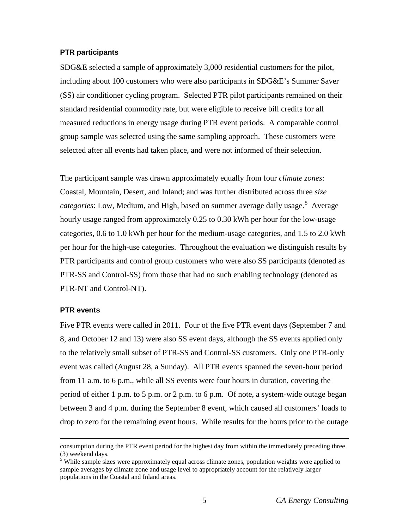#### <span id="page-9-0"></span>**PTR participants**

SDG&E selected a sample of approximately 3,000 residential customers for the pilot, including about 100 customers who were also participants in SDG&E's Summer Saver (SS) air conditioner cycling program. Selected PTR pilot participants remained on their standard residential commodity rate, but were eligible to receive bill credits for all measured reductions in energy usage during PTR event periods. A comparable control group sample was selected using the same sampling approach. These customers were selected after all events had taken place, and were not informed of their selection.

The participant sample was drawn approximately equally from four *climate zones*: Coastal, Mountain, Desert, and Inland; and was further distributed across three *size* categories: Low, Medium, and High, based on summer average daily usage.<sup>[5](#page-9-2)</sup> Average hourly usage ranged from approximately 0.25 to 0.30 kWh per hour for the low-usage categories, 0.6 to 1.0 kWh per hour for the medium-usage categories, and 1.5 to 2.0 kWh per hour for the high-use categories. Throughout the evaluation we distinguish results by PTR participants and control group customers who were also SS participants (denoted as PTR-SS and Control-SS) from those that had no such enabling technology (denoted as PTR-NT and Control-NT).

### <span id="page-9-1"></span>**PTR events**

Five PTR events were called in 2011. Four of the five PTR event days (September 7 and 8, and October 12 and 13) were also SS event days, although the SS events applied only to the relatively small subset of PTR-SS and Control-SS customers. Only one PTR-only event was called (August 28, a Sunday). All PTR events spanned the seven-hour period from 11 a.m. to 6 p.m., while all SS events were four hours in duration, covering the period of either 1 p.m. to 5 p.m. or 2 p.m. to 6 p.m. Of note, a system-wide outage began between 3 and 4 p.m. during the September 8 event, which caused all customers' loads to drop to zero for the remaining event hours. While results for the hours prior to the outage

consumption during the PTR event period for the highest day from within the immediately preceding three

<span id="page-9-2"></span> $\frac{3}{5}$  While sample sizes were approximately equal across climate zones, population weights were applied to sample averages by climate zone and usage level to appropriately account for the relatively larger populations in the Coastal and Inland areas.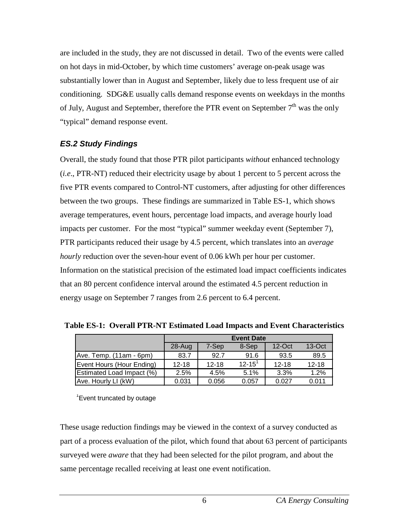are included in the study, they are not discussed in detail. Two of the events were called on hot days in mid-October, by which time customers' average on-peak usage was substantially lower than in August and September, likely due to less frequent use of air conditioning. SDG&E usually calls demand response events on weekdays in the months of July, August and September, therefore the PTR event on September  $7<sup>th</sup>$  was the only "typical" demand response event.

## <span id="page-10-0"></span>*ES.2 Study Findings*

Overall, the study found that those PTR pilot participants *without* enhanced technology (*i.e*., PTR-NT) reduced their electricity usage by about 1 percent to 5 percent across the five PTR events compared to Control-NT customers, after adjusting for other differences between the two groups. These findings are summarized in Table ES-1, which shows average temperatures, event hours, percentage load impacts, and average hourly load impacts per customer. For the most "typical" summer weekday event (September 7), PTR participants reduced their usage by 4.5 percent, which translates into an *average hourly* reduction over the seven-hour event of 0.06 kWh per hour per customer. Information on the statistical precision of the estimated load impact coefficients indicates that an 80 percent confidence interval around the estimated 4.5 percent reduction in energy usage on September 7 ranges from 2.6 percent to 6.4 percent.

|                           | <b>Event Date</b> |           |               |           |           |
|---------------------------|-------------------|-----------|---------------|-----------|-----------|
|                           | 28-Aug            | 7-Sep     | 8-Sep         | $12$ -Oct | $13-Oct$  |
| Ave. Temp. (11am - 6pm)   | 83.7              | 92.7      | 91.6          | 93.5      | 89.5      |
| Event Hours (Hour Ending) | $12 - 18$         | $12 - 18$ | $12 - 15^{1}$ | $12 - 18$ | $12 - 18$ |
| Estimated Load Impact (%) | 2.5%              | 4.5%      | 5.1%          | 3.3%      | 1.2%      |
| Ave. Hourly LI (kW)       | 0.031             | 0.056     | 0.057         | 0.027     | 0.011     |

<span id="page-10-1"></span>**Table ES-1: Overall PTR-NT Estimated Load Impacts and Event Characteristics**

<sup>1</sup> Event truncated by outage

These usage reduction findings may be viewed in the context of a survey conducted as part of a process evaluation of the pilot, which found that about 63 percent of participants surveyed were *aware* that they had been selected for the pilot program, and about the same percentage recalled receiving at least one event notification.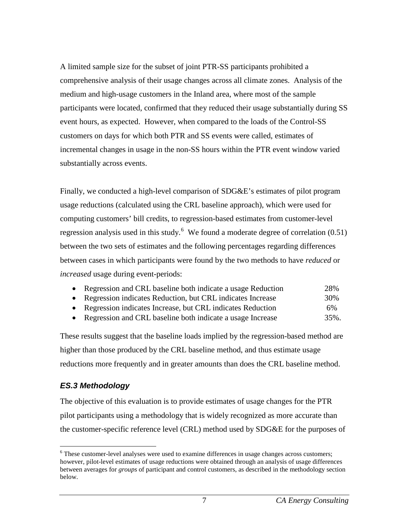A limited sample size for the subset of joint PTR-SS participants prohibited a comprehensive analysis of their usage changes across all climate zones. Analysis of the medium and high-usage customers in the Inland area, where most of the sample participants were located, confirmed that they reduced their usage substantially during SS event hours, as expected. However, when compared to the loads of the Control-SS customers on days for which both PTR and SS events were called, estimates of incremental changes in usage in the non-SS hours within the PTR event window varied substantially across events.

Finally, we conducted a high-level comparison of SDG&E's estimates of pilot program usage reductions (calculated using the CRL baseline approach), which were used for computing customers' bill credits, to regression-based estimates from customer-level regression analysis used in this study.<sup>[6](#page-11-1)</sup> We found a moderate degree of correlation  $(0.51)$ between the two sets of estimates and the following percentages regarding differences between cases in which participants were found by the two methods to have *reduced* or *increased* usage during event-periods:

| • Regression and CRL baseline both indicate a usage Reduction | 28%  |
|---------------------------------------------------------------|------|
| • Regression indicates Reduction, but CRL indicates Increase  | 30%  |
| • Regression indicates Increase, but CRL indicates Reduction  | 6%   |
| • Regression and CRL baseline both indicate a usage Increase  | 35%. |

These results suggest that the baseline loads implied by the regression-based method are higher than those produced by the CRL baseline method, and thus estimate usage reductions more frequently and in greater amounts than does the CRL baseline method.

### <span id="page-11-0"></span>*ES.3 Methodology*

The objective of this evaluation is to provide estimates of usage changes for the PTR pilot participants using a methodology that is widely recognized as more accurate than the customer-specific reference level (CRL) method used by SDG&E for the purposes of

<span id="page-11-1"></span><sup>&</sup>lt;sup>6</sup> These customer-level analyses were used to examine differences in usage changes across customers; however, pilot-level estimates of usage reductions were obtained through an analysis of usage differences between averages for *groups* of participant and control customers, as described in the methodology section below.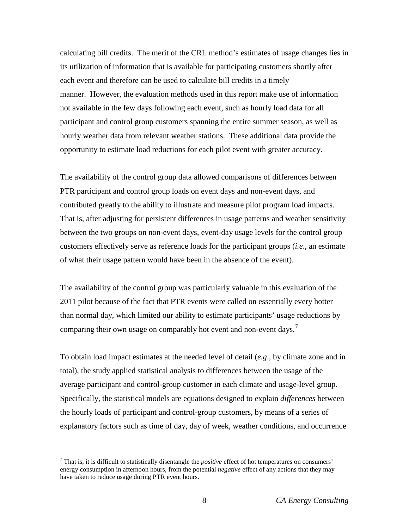calculating bill credits. The merit of the CRL method's estimates of usage changes lies in its utilization of information that is available for participating customers shortly after each event and therefore can be used to calculate bill credits in a timely manner. However, the evaluation methods used in this report make use of information not available in the few days following each event, such as hourly load data for all participant and control group customers spanning the entire summer season, as well as hourly weather data from relevant weather stations. These additional data provide the opportunity to estimate load reductions for each pilot event with greater accuracy.

The availability of the control group data allowed comparisons of differences between PTR participant and control group loads on event days and non-event days, and contributed greatly to the ability to illustrate and measure pilot program load impacts. That is, after adjusting for persistent differences in usage patterns and weather sensitivity between the two groups on non-event days, event-day usage levels for the control group customers effectively serve as reference loads for the participant groups (*i.e*., an estimate of what their usage pattern would have been in the absence of the event).

The availability of the control group was particularly valuable in this evaluation of the 2011 pilot because of the fact that PTR events were called on essentially every hotter than normal day, which limited our ability to estimate participants' usage reductions by comparing their own usage on comparably hot event and non-event days.<sup>[7](#page-12-0)</sup>

To obtain load impact estimates at the needed level of detail (*e.g*., by climate zone and in total), the study applied statistical analysis to differences between the usage of the average participant and control-group customer in each climate and usage-level group. Specifically, the statistical models are equations designed to explain *differences* between the hourly loads of participant and control-group customers, by means of a series of explanatory factors such as time of day, day of week, weather conditions, and occurrence

<span id="page-12-0"></span> <sup>7</sup> That is, it is difficult to statistically disentangle the *positive* effect of hot temperatures on consumers' energy consumption in afternoon hours, from the potential *negative* effect of any actions that they may have taken to reduce usage during PTR event hours.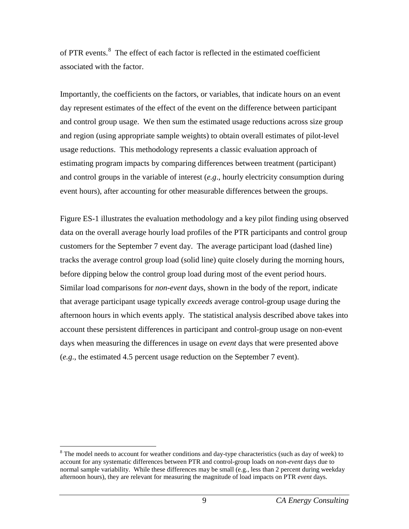of PTR events.<sup>[8](#page-13-0)</sup> The effect of each factor is reflected in the estimated coefficient associated with the factor.

Importantly, the coefficients on the factors, or variables, that indicate hours on an event day represent estimates of the effect of the event on the difference between participant and control group usage. We then sum the estimated usage reductions across size group and region (using appropriate sample weights) to obtain overall estimates of pilot-level usage reductions. This methodology represents a classic evaluation approach of estimating program impacts by comparing differences between treatment (participant) and control groups in the variable of interest (*e.g*., hourly electricity consumption during event hours), after accounting for other measurable differences between the groups.

Figure ES-1 illustrates the evaluation methodology and a key pilot finding using observed data on the overall average hourly load profiles of the PTR participants and control group customers for the September 7 event day. The average participant load (dashed line) tracks the average control group load (solid line) quite closely during the morning hours, before dipping below the control group load during most of the event period hours. Similar load comparisons for *non-event* days, shown in the body of the report, indicate that average participant usage typically *exceeds* average control-group usage during the afternoon hours in which events apply. The statistical analysis described above takes into account these persistent differences in participant and control-group usage on non-event days when measuring the differences in usage on *event* days that were presented above (*e.g*., the estimated 4.5 percent usage reduction on the September 7 event).

<span id="page-13-0"></span><sup>&</sup>lt;sup>8</sup> The model needs to account for weather conditions and day-type characteristics (such as day of week) to account for any systematic differences between PTR and control-group loads on *non-event* days due to normal sample variability. While these differences may be small (e.g., less than 2 percent during weekday afternoon hours), they are relevant for measuring the magnitude of load impacts on PTR *event* days.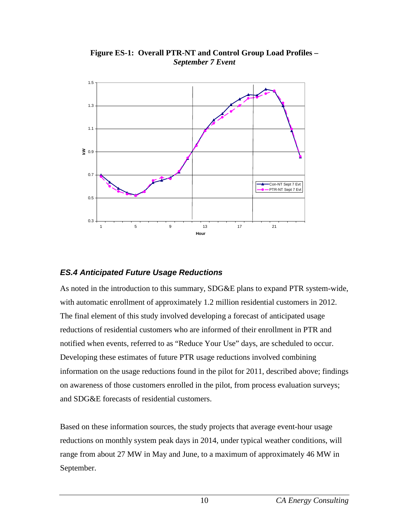<span id="page-14-1"></span>

**Figure ES-1: Overall PTR-NT and Control Group Load Profiles –** *September 7 Event*

# <span id="page-14-0"></span>*ES.4 Anticipated Future Usage Reductions*

As noted in the introduction to this summary, SDG&E plans to expand PTR system-wide, with automatic enrollment of approximately 1.2 million residential customers in 2012. The final element of this study involved developing a forecast of anticipated usage reductions of residential customers who are informed of their enrollment in PTR and notified when events, referred to as "Reduce Your Use" days, are scheduled to occur. Developing these estimates of future PTR usage reductions involved combining information on the usage reductions found in the pilot for 2011, described above; findings on awareness of those customers enrolled in the pilot, from process evaluation surveys; and SDG&E forecasts of residential customers.

Based on these information sources, the study projects that average event-hour usage reductions on monthly system peak days in 2014, under typical weather conditions, will range from about 27 MW in May and June, to a maximum of approximately 46 MW in September.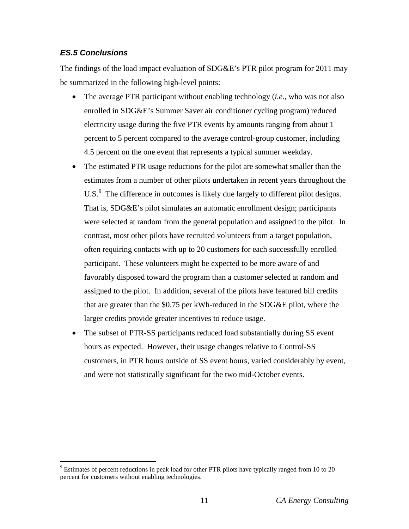# <span id="page-15-0"></span>*ES.5 Conclusions*

The findings of the load impact evaluation of SDG&E's PTR pilot program for 2011 may be summarized in the following high-level points:

- The average PTR participant without enabling technology (*i.e.*, who was not also enrolled in SDG&E's Summer Saver air conditioner cycling program) reduced electricity usage during the five PTR events by amounts ranging from about 1 percent to 5 percent compared to the average control-group customer, including 4.5 percent on the one event that represents a typical summer weekday.
- The estimated PTR usage reductions for the pilot are somewhat smaller than the estimates from a number of other pilots undertaken in recent years throughout the U.S. $<sup>9</sup>$  $<sup>9</sup>$  $<sup>9</sup>$  The difference in outcomes is likely due largely to different pilot designs.</sup> That is, SDG&E's pilot simulates an automatic enrollment design; participants were selected at random from the general population and assigned to the pilot. In contrast, most other pilots have recruited volunteers from a target population, often requiring contacts with up to 20 customers for each successfully enrolled participant. These volunteers might be expected to be more aware of and favorably disposed toward the program than a customer selected at random and assigned to the pilot. In addition, several of the pilots have featured bill credits that are greater than the \$0.75 per kWh-reduced in the SDG&E pilot, where the larger credits provide greater incentives to reduce usage.
- The subset of PTR-SS participants reduced load substantially during SS event hours as expected. However, their usage changes relative to Control-SS customers, in PTR hours outside of SS event hours, varied considerably by event, and were not statistically significant for the two mid-October events.

<span id="page-15-1"></span> $9$  Estimates of percent reductions in peak load for other PTR pilots have typically ranged from 10 to 20 percent for customers without enabling technologies.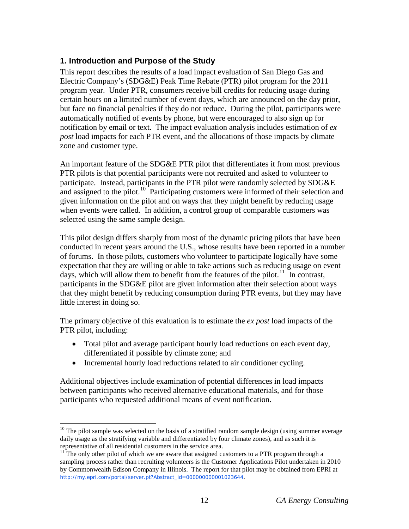# <span id="page-16-0"></span>**1. Introduction and Purpose of the Study**

This report describes the results of a load impact evaluation of San Diego Gas and Electric Company's (SDG&E) Peak Time Rebate (PTR) pilot program for the 2011 program year. Under PTR, consumers receive bill credits for reducing usage during certain hours on a limited number of event days, which are announced on the day prior, but face no financial penalties if they do not reduce. During the pilot, participants were automatically notified of events by phone, but were encouraged to also sign up for notification by email or text. The impact evaluation analysis includes estimation of *ex post* load impacts for each PTR event, and the allocations of those impacts by climate zone and customer type.

An important feature of the SDG&E PTR pilot that differentiates it from most previous PTR pilots is that potential participants were not recruited and asked to volunteer to participate. Instead, participants in the PTR pilot were randomly selected by SDG&E and assigned to the pilot.<sup>[10](#page-16-1)</sup> Participating customers were informed of their selection and given information on the pilot and on ways that they might benefit by reducing usage when events were called. In addition, a control group of comparable customers was selected using the same sample design.

This pilot design differs sharply from most of the dynamic pricing pilots that have been conducted in recent years around the U.S., whose results have been reported in a number of forums. In those pilots, customers who volunteer to participate logically have some expectation that they are willing or able to take actions such as reducing usage on event days, which will allow them to benefit from the features of the pilot.<sup>11</sup> In contrast, participants in the SDG&E pilot are given information after their selection about ways that they might benefit by reducing consumption during PTR events, but they may have little interest in doing so.

The primary objective of this evaluation is to estimate the *ex post* load impacts of the PTR pilot, including:

- Total pilot and average participant hourly load reductions on each event day, differentiated if possible by climate zone; and
- Incremental hourly load reductions related to air conditioner cycling.

Additional objectives include examination of potential differences in load impacts between participants who received alternative educational materials, and for those participants who requested additional means of event notification.

<span id="page-16-1"></span> $10$  The pilot sample was selected on the basis of a stratified random sample design (using summer average daily usage as the stratifying variable and differentiated by four climate zones), and as such it is representative of all residential customers in the service area.

<span id="page-16-2"></span> $11$ <sup>11</sup> The only other pilot of which we are aware that assigned customers to a PTR program through a sampling process rather than recruiting volunteers is the Customer Applications Pilot undertaken in 2010 by Commonwealth Edison Company in Illinois. The report for that pilot may be obtained from EPRI at [http://my.epri.com/portal/server.pt?Abstract\\_id=000000000001023644](http://my.epri.com/portal/server.pt?Abstract_id=000000000001023644).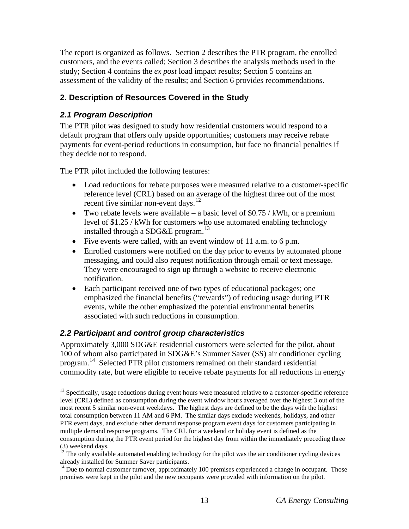The report is organized as follows. Section 2 describes the PTR program, the enrolled customers, and the events called; Section 3 describes the analysis methods used in the study; Section 4 contains the *ex post* load impact results; Section 5 contains an assessment of the validity of the results; and Section 6 provides recommendations.

# <span id="page-17-0"></span>**2. Description of Resources Covered in the Study**

# <span id="page-17-1"></span>*2.1 Program Description*

The PTR pilot was designed to study how residential customers would respond to a default program that offers only upside opportunities; customers may receive rebate payments for event-period reductions in consumption, but face no financial penalties if they decide not to respond.

The PTR pilot included the following features:

- Load reductions for rebate purposes were measured relative to a customer-specific reference level (CRL) based on an average of the highest three out of the most recent five similar non-event days.<sup>[12](#page-17-3)</sup>
- Two rebate levels were available a basic level of  $$0.75 / kWh$ , or a premium level of \$1.25 / kWh for customers who use automated enabling technology installed through a SDG&E program.<sup>[13](#page-17-4)</sup>
- Five events were called, with an event window of 11 a.m. to 6 p.m.
- Enrolled customers were notified on the day prior to events by automated phone messaging, and could also request notification through email or text message. They were encouraged to sign up through a website to receive electronic notification.
- Each participant received one of two types of educational packages; one emphasized the financial benefits ("rewards") of reducing usage during PTR events, while the other emphasized the potential environmental benefits associated with such reductions in consumption.

# <span id="page-17-2"></span>*2.2 Participant and control group characteristics*

Approximately 3,000 SDG&E residential customers were selected for the pilot, about 100 of whom also participated in SDG&E's Summer Saver (SS) air conditioner cycling program.[14](#page-17-5) Selected PTR pilot customers remained on their standard residential commodity rate, but were eligible to receive rebate payments for all reductions in energy

<span id="page-17-3"></span><sup>&</sup>lt;sup>12</sup> Specifically, usage reductions during event hours were measured relative to a customer-specific reference level (CRL) defined as consumption during the event window hours averaged over the highest 3 out of the most recent 5 similar non-event weekdays. The highest days are defined to be the days with the highest total consumption between 11 AM and 6 PM. The similar days exclude weekends, holidays, and other PTR event days, and exclude other demand response program event days for customers participating in multiple demand response programs. The CRL for a weekend or holiday event is defined as the consumption during the PTR event period for the highest day from within the immediately preceding three (3) weekend days.

<span id="page-17-4"></span><sup>&</sup>lt;sup>13</sup> The only available automated enabling technology for the pilot was the air conditioner cycling devices already installed for Summer Saver participants.

<span id="page-17-5"></span><sup>&</sup>lt;sup>14</sup> Due to normal customer turnover, approximately 100 premises experienced a change in occupant. Those premises were kept in the pilot and the new occupants were provided with information on the pilot.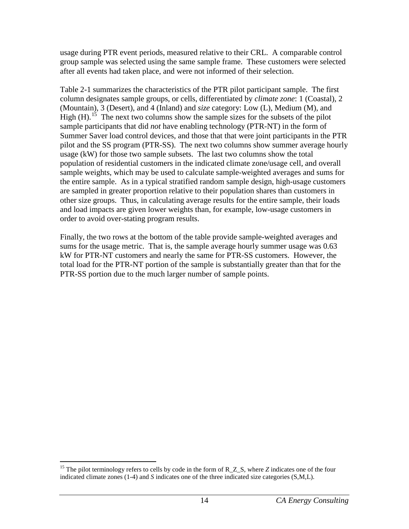usage during PTR event periods, measured relative to their CRL. A comparable control group sample was selected using the same sample frame. These customers were selected after all events had taken place, and were not informed of their selection.

Table 2-1 summarizes the characteristics of the PTR pilot participant sample. The first column designates sample groups, or cells, differentiated by *climate zone*: 1 (Coastal), 2 (Mountain), 3 (Desert), and 4 (Inland) and *size* category: Low (L), Medium (M), and High  $(H)$ .<sup>[15](#page-18-0)</sup> The next two columns show the sample sizes for the subsets of the pilot sample participants that did *not* have enabling technology (PTR-NT) in the form of Summer Saver load control devices, and those that that were joint participants in the PTR pilot and the SS program (PTR-SS). The next two columns show summer average hourly usage (kW) for those two sample subsets. The last two columns show the total population of residential customers in the indicated climate zone/usage cell, and overall sample weights, which may be used to calculate sample-weighted averages and sums for the entire sample. As in a typical stratified random sample design, high-usage customers are sampled in greater proportion relative to their population shares than customers in other size groups. Thus, in calculating average results for the entire sample, their loads and load impacts are given lower weights than, for example, low-usage customers in order to avoid over-stating program results.

Finally, the two rows at the bottom of the table provide sample-weighted averages and sums for the usage metric. That is, the sample average hourly summer usage was 0.63 kW for PTR-NT customers and nearly the same for PTR-SS customers. However, the total load for the PTR-NT portion of the sample is substantially greater than that for the PTR-SS portion due to the much larger number of sample points.

<span id="page-18-0"></span><sup>&</sup>lt;sup>15</sup> The pilot terminology refers to cells by code in the form of R<sub>\_</sub>Z<sub>\_</sub>S, where *Z* indicates one of the four indicated climate zones (1-4) and *S* indicates one of the three indicated size categories (S,M,L).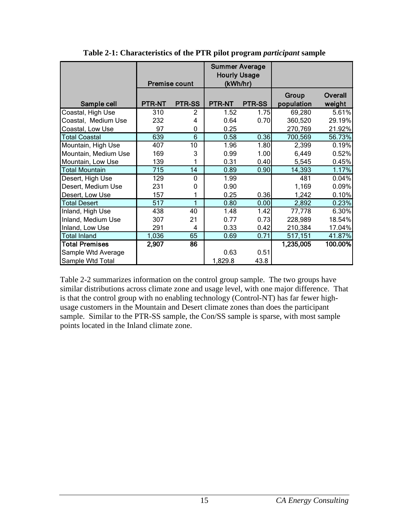<span id="page-19-0"></span>

|                       |        | <b>Premise count</b> | <b>Summer Average</b><br><b>Hourly Usage</b><br>(kWh/hr) |               |                     |                   |
|-----------------------|--------|----------------------|----------------------------------------------------------|---------------|---------------------|-------------------|
| Sample cell           | PTR-NT | <b>PTR-SS</b>        | <b>PTR-NT</b>                                            | <b>PTR-SS</b> | Group<br>population | Overall<br>weight |
| Coastal, High Use     | 310    | $\mathfrak{p}$       | 1.52                                                     | 1.75          | 69,280              | 5.61%             |
| Coastal, Medium Use   | 232    | 4                    | 0.64                                                     | 0.70          | 360,520             | 29.19%            |
| Coastal, Low Use      | 97     | 0                    | 0.25                                                     |               | 270,769             | 21.92%            |
| <b>Total Coastal</b>  | 639    | 6                    | 0.58                                                     | 0.36          | 700,569             | 56.73%            |
| Mountain, High Use    | 407    | 10                   | 1.96                                                     | 1.80          | 2,399               | 0.19%             |
| Mountain, Medium Use  | 169    | 3                    | 0.99                                                     | 1.00          | 6,449               | 0.52%             |
| Mountain, Low Use     | 139    | 1                    | 0.31                                                     | 0.40          | 5,545               | 0.45%             |
| <b>Total Mountain</b> | 715    | 14                   | 0.89                                                     | 0.90          | 14,393              | 1.17%             |
| Desert, High Use      | 129    | 0                    | 1.99                                                     |               | 481                 | 0.04%             |
| Desert, Medium Use    | 231    | 0                    | 0.90                                                     |               | 1,169               | 0.09%             |
| Desert, Low Use       | 157    | 1                    | 0.25                                                     | 0.36          | 1,242               | 0.10%             |
| <b>Total Desert</b>   | 517    | 1                    | 0.80                                                     | 0.00          | 2,892               | 0.23%             |
| Inland, High Use      | 438    | 40                   | 1.48                                                     | 1.42          | 77,778              | 6.30%             |
| Inland, Medium Use    | 307    | 21                   | 0.77                                                     | 0.73          | 228,989             | 18.54%            |
| Inland, Low Use       | 291    | 4                    | 0.33                                                     | 0.42          | 210,384             | 17.04%            |
| <b>Total Inland</b>   | 1,036  | 65                   | 0.69                                                     | 0.71          | 517,151             | 41.87%            |
| <b>Total Premises</b> | 2,907  | 86                   |                                                          |               | 1,235,005           | 100.00%           |
| Sample Wtd Average    |        |                      | 0.63                                                     | 0.51          |                     |                   |
| Sample Wtd Total      |        |                      | 1,829.8                                                  | 43.8          |                     |                   |

**Table 2-1: Characteristics of the PTR pilot program** *participant* **sample**

Table 2-2 summarizes information on the control group sample. The two groups have similar distributions across climate zone and usage level, with one major difference. That is that the control group with no enabling technology (Control-NT) has far fewer highusage customers in the Mountain and Desert climate zones than does the participant sample. Similar to the PTR-SS sample, the Con/SS sample is sparse, with most sample points located in the Inland climate zone.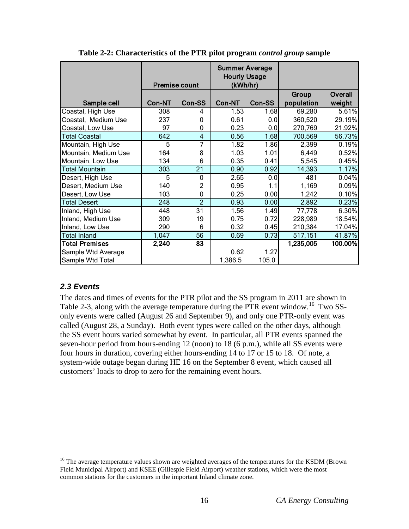<span id="page-20-1"></span>

|                       |        | <b>Premise count</b> | <b>Summer Average</b><br><b>Hourly Usage</b><br>(kWh/hr) |        |            |         |
|-----------------------|--------|----------------------|----------------------------------------------------------|--------|------------|---------|
|                       |        |                      |                                                          |        | Group      | Overall |
| Sample cell           | Con-NT | Con-SS               | Con-NT                                                   | Con-SS | population | weight  |
| Coastal, High Use     | 308    | 4                    | 1.53                                                     | 1.68   | 69,280     | 5.61%   |
| Coastal, Medium Use   | 237    | $\Omega$             | 0.61                                                     | 0.0    | 360,520    | 29.19%  |
| Coastal, Low Use      | 97     | $\mathbf{0}$         | 0.23                                                     | 0.0    | 270,769    | 21.92%  |
| <b>Total Coastal</b>  | 642    | $\overline{4}$       | 0.56                                                     | 1.68   | 700,569    | 56.73%  |
| Mountain, High Use    | 5      | 7                    | 1.82                                                     | 1.86   | 2,399      | 0.19%   |
| Mountain, Medium Use  | 164    | 8                    | 1.03                                                     | 1.01   | 6,449      | 0.52%   |
| Mountain, Low Use     | 134    | 6                    | 0.35                                                     | 0.41   | 5,545      | 0.45%   |
| <b>Total Mountain</b> | 303    | 21                   | 0.90                                                     | 0.92   | 14,393     | 1.17%   |
| Desert, High Use      | 5      | 0                    | 2.65                                                     | 0.0    | 481        | 0.04%   |
| Desert, Medium Use    | 140    | 2                    | 0.95                                                     | 1.1    | 1,169      | 0.09%   |
| Desert, Low Use       | 103    | 0                    | 0.25                                                     | 0.00   | 1,242      | 0.10%   |
| <b>Total Desert</b>   | 248    | $\overline{2}$       | 0.93                                                     | 0.00   | 2,892      | 0.23%   |
| Inland, High Use      | 448    | 31                   | 1.56                                                     | 1.49   | 77,778     | 6.30%   |
| Inland, Medium Use    | 309    | 19                   | 0.75                                                     | 0.72   | 228,989    | 18.54%  |
| Inland, Low Use       | 290    | 6                    | 0.32                                                     | 0.45   | 210,384    | 17.04%  |
| <b>Total Inland</b>   | 1,047  | 56                   | 0.69                                                     | 0.73   | 517,151    | 41.87%  |
| <b>Total Premises</b> | 2,240  | $\overline{83}$      |                                                          |        | 1,235,005  | 100.00% |
| Sample Wtd Average    |        |                      | 0.62                                                     | 1.27   |            |         |
| Sample Wtd Total      |        |                      | 1,386.5                                                  | 105.0  |            |         |

**Table 2-2: Characteristics of the PTR pilot program** *control group* **sample**

# <span id="page-20-0"></span>*2.3 Events*

The dates and times of events for the PTR pilot and the SS program in 2011 are shown in Table 2-3, along with the average temperature during the PTR event window.<sup>16</sup> Two SSonly events were called (August 26 and September 9), and only one PTR-only event was called (August 28, a Sunday). Both event types were called on the other days, although the SS event hours varied somewhat by event. In particular, all PTR events spanned the seven-hour period from hours-ending 12 (noon) to 18 (6 p.m.), while all SS events were four hours in duration, covering either hours-ending 14 to 17 or 15 to 18. Of note, a system-wide outage began during HE 16 on the September 8 event, which caused all customers' loads to drop to zero for the remaining event hours.

<span id="page-20-2"></span><sup>&</sup>lt;sup>16</sup> The average temperature values shown are weighted averages of the temperatures for the KSDM (Brown Field Municipal Airport) and KSEE (Gillespie Field Airport) weather stations, which were the most common stations for the customers in the important Inland climate zone.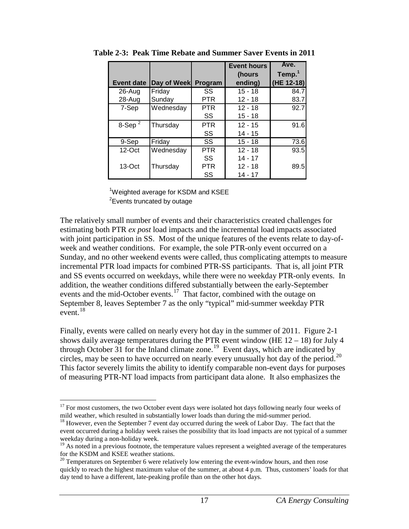|                   |             |            | <b>Event hours</b> | Ave.               |
|-------------------|-------------|------------|--------------------|--------------------|
|                   |             |            | (hours             | Temp. <sup>1</sup> |
| <b>Event date</b> | Day of Week | Program    | ending)            | (HE 12-18)         |
| 26-Aug            | Friday      | SS         | $15 - 18$          | 84.7               |
| 28-Aug            | Sunday      | <b>PTR</b> | $12 - 18$          | 83.7               |
| 7-Sep             | Wednesday   | <b>PTR</b> | $12 - 18$          | 92.7               |
|                   |             | SS         | $15 - 18$          |                    |
| 8-Sep $^2$        | Thursday    | <b>PTR</b> | $12 - 15$          | 91.6               |
|                   |             | SS         | $14 - 15$          |                    |
| 9-Sep             | Friday      | SS         | $15 - 18$          | 73.6               |
| $12$ -Oct         | Wednesday   | <b>PTR</b> | $12 - 18$          | 93.5               |
|                   |             | SS         | $14 - 17$          |                    |
| $13-Oct$          | Thursday    | <b>PTR</b> | $12 - 18$          | 89.5               |
|                   |             | SS         | $14 - 17$          |                    |

<span id="page-21-0"></span>**Table 2-3: Peak Time Rebate and Summer Saver Events in 2011**

<sup>1</sup>Weighted average for KSDM and KSEE <sup>2</sup> Events truncated by outage

The relatively small number of events and their characteristics created challenges for estimating both PTR *ex post* load impacts and the incremental load impacts associated with joint participation in SS. Most of the unique features of the events relate to day-ofweek and weather conditions. For example, the sole PTR-only event occurred on a Sunday, and no other weekend events were called, thus complicating attempts to measure incremental PTR load impacts for combined PTR-SS participants. That is, all joint PTR and SS events occurred on weekdays, while there were no weekday PTR-only events. In addition, the weather conditions differed substantially between the early-September events and the mid-October events.<sup>[17](#page-21-1)</sup> That factor, combined with the outage on September 8, leaves September 7 as the only "typical" mid-summer weekday PTR event.[18](#page-21-2) 

Finally, events were called on nearly every hot day in the summer of 2011. Figure 2-1 shows daily average temperatures during the PTR event window (HE  $12 - 18$ ) for July 4 through October 31 for the Inland climate zone. [19](#page-21-3) Event days, which are indicated by circles, may be seen to have occurred on nearly every unusually hot day of the period.<sup>20</sup> This factor severely limits the ability to identify comparable non-event days for purposes of measuring PTR-NT load impacts from participant data alone. It also emphasizes the

<span id="page-21-1"></span> $17$  For most customers, the two October event days were isolated hot days following nearly four weeks of mild weather, which resulted in substantially lower loads than during the mid-summer period.

<span id="page-21-2"></span> $18$  However, even the September 7 event day occurred during the week of Labor Day. The fact that the event occurred during a holiday week raises the possibility that its load impacts are not typical of a summer weekday during a non-holiday week.<br><sup>19</sup> As noted in a previous footnote, the temperature values represent a weighted average of the temperatures

<span id="page-21-3"></span>for the KSDM and KSEE weather stations.

<span id="page-21-4"></span> $20$  Temperatures on September 6 were relatively low entering the event-window hours, and then rose quickly to reach the highest maximum value of the summer, at about 4 p.m. Thus, customers' loads for that day tend to have a different, late-peaking profile than on the other hot days.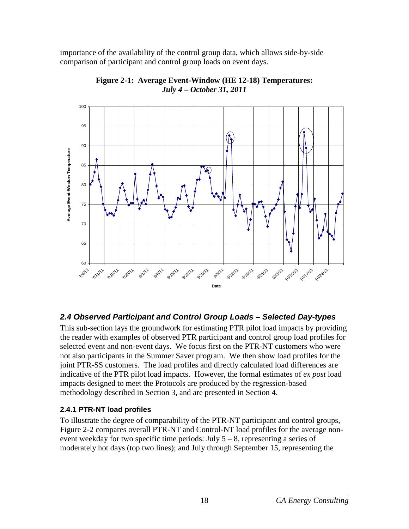importance of the availability of the control group data, which allows side-by-side comparison of participant and control group loads on event days.

<span id="page-22-2"></span>

**Figure 2-1: Average Event-Window (HE 12-18) Temperatures:** *July 4 – October 31, 2011*

# <span id="page-22-0"></span>*2.4 Observed Participant and Control Group Loads – Selected Day-types*

This sub-section lays the groundwork for estimating PTR pilot load impacts by providing the reader with examples of observed PTR participant and control group load profiles for selected event and non-event days. We focus first on the PTR-NT customers who were not also participants in the Summer Saver program. We then show load profiles for the joint PTR-SS customers. The load profiles and directly calculated load differences are indicative of the PTR pilot load impacts. However, the formal estimates of *ex post* load impacts designed to meet the Protocols are produced by the regression-based methodology described in Section 3, and are presented in Section 4.

# <span id="page-22-1"></span>**2.4.1 PTR-NT load profiles**

To illustrate the degree of comparability of the PTR-NT participant and control groups, Figure 2-2 compares overall PTR-NT and Control-NT load profiles for the average nonevent weekday for two specific time periods: July  $5 - 8$ , representing a series of moderately hot days (top two lines); and July through September 15, representing the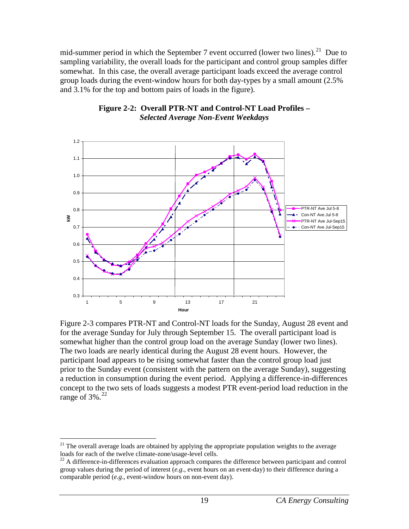mid-summer period in which the September 7 event occurred (lower two lines).<sup>[21](#page-23-1)</sup> Due to sampling variability, the overall loads for the participant and control group samples differ somewhat. In this case, the overall average participant loads exceed the average control group loads during the event-window hours for both day-types by a small amount (2.5% and 3.1% for the top and bottom pairs of loads in the figure).

<span id="page-23-0"></span>

#### **Figure 2-2: Overall PTR-NT and Control-NT Load Profiles –** *Selected Average Non-Event Weekdays*

Figure 2-3 compares PTR-NT and Control-NT loads for the Sunday, August 28 event and for the average Sunday for July through September 15. The overall participant load is somewhat higher than the control group load on the average Sunday (lower two lines). The two loads are nearly identical during the August 28 event hours. However, the participant load appears to be rising somewhat faster than the control group load just prior to the Sunday event (consistent with the pattern on the average Sunday), suggesting a reduction in consumption during the event period. Applying a difference-in-differences concept to the two sets of loads suggests a modest PTR event-period load reduction in the range of 3%.<sup>[22](#page-23-2)</sup>

<span id="page-23-1"></span> $21$  The overall average loads are obtained by applying the appropriate population weights to the average loads for each of the twelve climate-zone/usage-level cells.

<span id="page-23-2"></span> $^{22}$  A difference-in-differences evaluation approach compares the difference between participant and control group values during the period of interest (*e.g*., event hours on an event-day) to their difference during a comparable period (*e.g*., event-window hours on non-event day).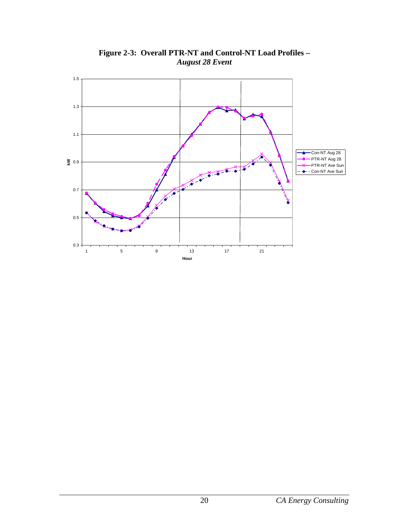<span id="page-24-0"></span>

**Figure 2-3: Overall PTR-NT and Control-NT Load Profiles –** *August 28 Event*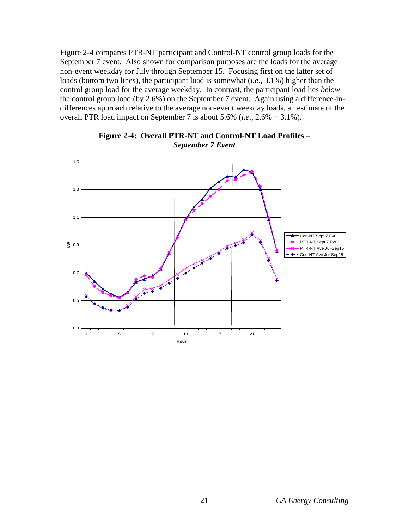Figure 2-4 compares PTR-NT participant and Control-NT control group loads for the September 7 event. Also shown for comparison purposes are the loads for the average non-event weekday for July through September 15. Focusing first on the latter set of loads (bottom two lines), the participant load is somewhat (*i.e*., 3.1%) higher than the control group load for the average weekday. In contrast, the participant load lies *below* the control group load (by 2.6%) on the September 7 event. Again using a difference-indifferences approach relative to the average non-event weekday loads, an estimate of the overall PTR load impact on September 7 is about 5.6% (*i.e*., 2.6% + 3.1%).

<span id="page-25-0"></span>

**Figure 2-4: Overall PTR-NT and Control-NT Load Profiles –** *September 7 Event*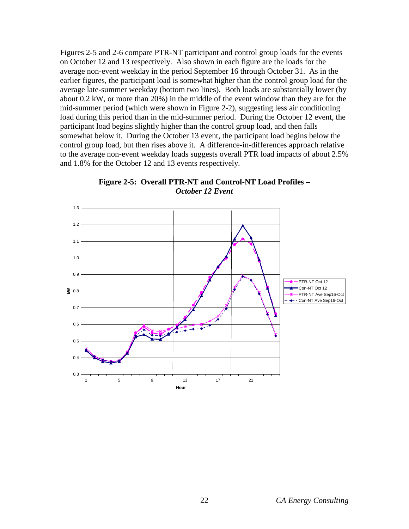Figures 2-5 and 2-6 compare PTR-NT participant and control group loads for the events on October 12 and 13 respectively. Also shown in each figure are the loads for the average non-event weekday in the period September 16 through October 31. As in the earlier figures, the participant load is somewhat higher than the control group load for the average late-summer weekday (bottom two lines). Both loads are substantially lower (by about 0.2 kW, or more than 20%) in the middle of the event window than they are for the mid-summer period (which were shown in Figure 2-2), suggesting less air conditioning load during this period than in the mid-summer period. During the October 12 event, the participant load begins slightly higher than the control group load, and then falls somewhat below it. During the October 13 event, the participant load begins below the control group load, but then rises above it. A difference-in-differences approach relative to the average non-event weekday loads suggests overall PTR load impacts of about 2.5% and 1.8% for the October 12 and 13 events respectively.



<span id="page-26-0"></span>1.3

**Figure 2-5: Overall PTR-NT and Control-NT Load Profiles –**

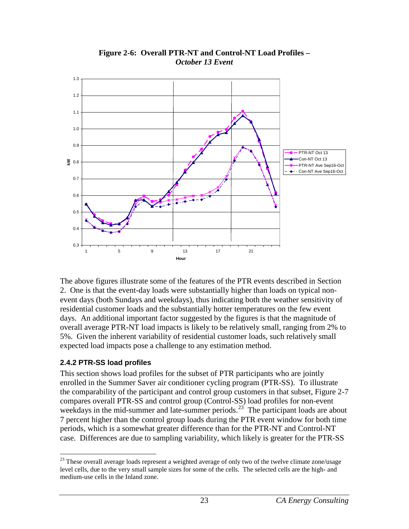<span id="page-27-1"></span>

**Figure 2-6: Overall PTR-NT and Control-NT Load Profiles –** *October 13 Event*

The above figures illustrate some of the features of the PTR events described in Section 2. One is that the event-day loads were substantially higher than loads on typical nonevent days (both Sundays and weekdays), thus indicating both the weather sensitivity of residential customer loads and the substantially hotter temperatures on the few event days. An additional important factor suggested by the figures is that the magnitude of overall average PTR-NT load impacts is likely to be relatively small, ranging from 2% to 5%. Given the inherent variability of residential customer loads, such relatively small expected load impacts pose a challenge to any estimation method.

# <span id="page-27-0"></span>**2.4.2 PTR-SS load profiles**

This section shows load profiles for the subset of PTR participants who are jointly enrolled in the Summer Saver air conditioner cycling program (PTR-SS). To illustrate the comparability of the participant and control group customers in that subset, Figure 2-7 compares overall PTR-SS and control group (Control-SS) load profiles for non-event weekdays in the mid-summer and late-summer periods.<sup>[23](#page-27-2)</sup> The participant loads are about 7 percent higher than the control group loads during the PTR event window for both time periods, which is a somewhat greater difference than for the PTR-NT and Control-NT case. Differences are due to sampling variability, which likely is greater for the PTR-SS

<span id="page-27-2"></span> $23$  These overall average loads represent a weighted average of only two of the twelve climate zone/usage level cells, due to the very small sample sizes for some of the cells. The selected cells are the high- and medium-use cells in the Inland zone.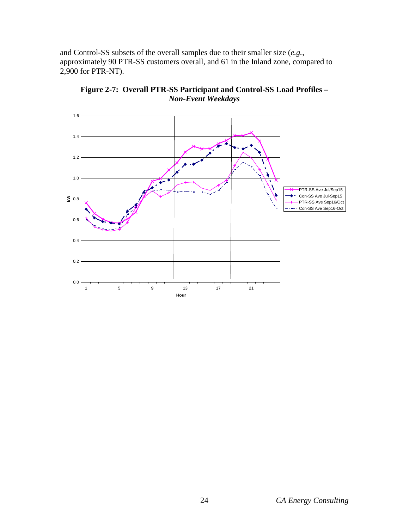and Control-SS subsets of the overall samples due to their smaller size (*e.g.*, approximately 90 PTR-SS customers overall, and 61 in the Inland zone, compared to 2,900 for PTR-NT).

<span id="page-28-0"></span>

**Figure 2-7: Overall PTR-SS Participant and Control-SS Load Profiles –** *Non-Event Weekdays*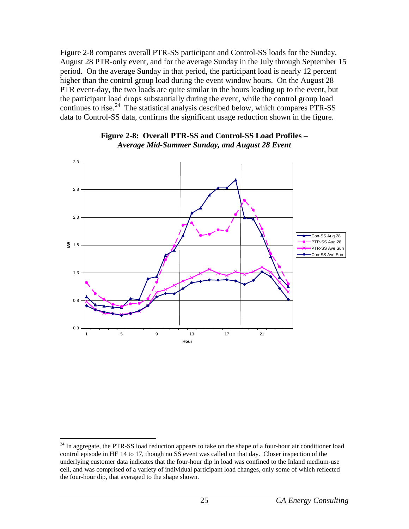Figure 2-8 compares overall PTR-SS participant and Control-SS loads for the Sunday, August 28 PTR-only event, and for the average Sunday in the July through September 15 period. On the average Sunday in that period, the participant load is nearly 12 percent higher than the control group load during the event window hours. On the August 28 PTR event-day, the two loads are quite similar in the hours leading up to the event, but the participant load drops substantially during the event, while the control group load continues to rise.<sup>[24](#page-29-1)</sup> The statistical analysis described below, which compares PTR-SS data to Control-SS data, confirms the significant usage reduction shown in the figure.

<span id="page-29-0"></span>

### **Figure 2-8: Overall PTR-SS and Control-SS Load Profiles –** *Average Mid-Summer Sunday, and August 28 Event*

<span id="page-29-1"></span><sup>&</sup>lt;sup>24</sup> In aggregate, the PTR-SS load reduction appears to take on the shape of a four-hour air conditioner load control episode in HE 14 to 17, though no SS event was called on that day. Closer inspection of the underlying customer data indicates that the four-hour dip in load was confined to the Inland medium-use cell, and was comprised of a variety of individual participant load changes, only some of which reflected the four-hour dip, that averaged to the shape shown.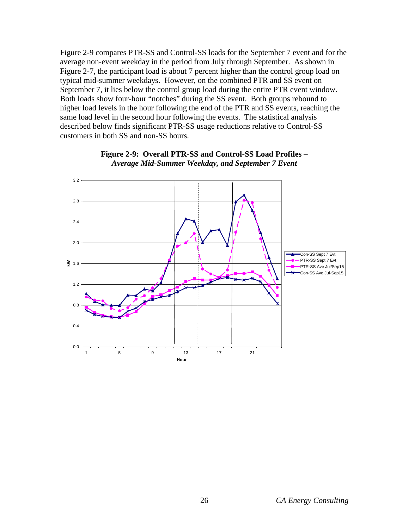Figure 2-9 compares PTR-SS and Control-SS loads for the September 7 event and for the average non-event weekday in the period from July through September. As shown in Figure 2-7, the participant load is about 7 percent higher than the control group load on typical mid-summer weekdays. However, on the combined PTR and SS event on September 7, it lies below the control group load during the entire PTR event window. Both loads show four-hour "notches" during the SS event. Both groups rebound to higher load levels in the hour following the end of the PTR and SS events, reaching the same load level in the second hour following the events. The statistical analysis described below finds significant PTR-SS usage reductions relative to Control-SS customers in both SS and non-SS hours.

<span id="page-30-0"></span>

**Figure 2-9: Overall PTR-SS and Control-SS Load Profiles –** *Average Mid-Summer Weekday, and September 7 Event*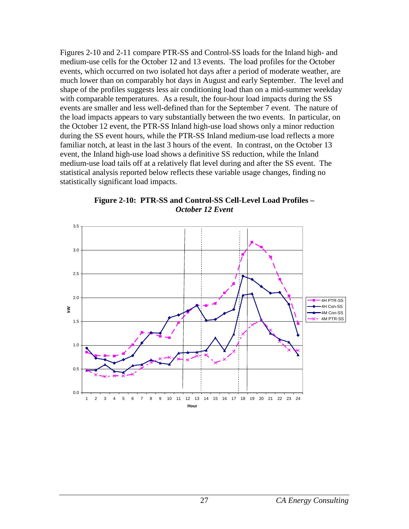Figures 2-10 and 2-11 compare PTR-SS and Control-SS loads for the Inland high- and medium-use cells for the October 12 and 13 events. The load profiles for the October events, which occurred on two isolated hot days after a period of moderate weather, are much lower than on comparably hot days in August and early September. The level and shape of the profiles suggests less air conditioning load than on a mid-summer weekday with comparable temperatures. As a result, the four-hour load impacts during the SS events are smaller and less well-defined than for the September 7 event. The nature of the load impacts appears to vary substantially between the two events. In particular, on the October 12 event, the PTR-SS Inland high-use load shows only a minor reduction during the SS event hours, while the PTR-SS Inland medium-use load reflects a more familiar notch, at least in the last 3 hours of the event. In contrast, on the October 13 event, the Inland high-use load shows a definitive SS reduction, while the Inland medium-use load tails off at a relatively flat level during and after the SS event. The statistical analysis reported below reflects these variable usage changes, finding no statistically significant load impacts.

<span id="page-31-0"></span>

**Figure 2-10: PTR-SS and Control-SS Cell-Level Load Profiles –** *October 12 Event*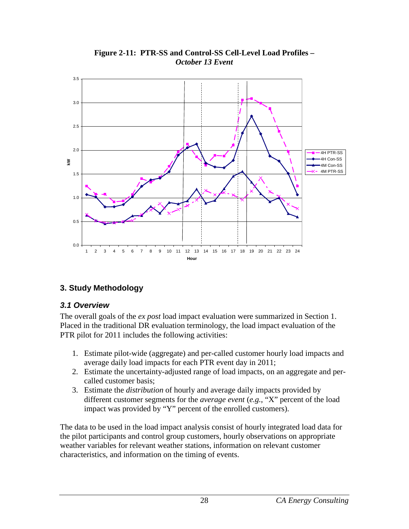<span id="page-32-2"></span>

## **Figure 2-11: PTR-SS and Control-SS Cell-Level Load Profiles –** *October 13 Event*

# <span id="page-32-0"></span>**3. Study Methodology**

# <span id="page-32-1"></span>*3.1 Overview*

The overall goals of the *ex post* load impact evaluation were summarized in Section 1. Placed in the traditional DR evaluation terminology, the load impact evaluation of the PTR pilot for 2011 includes the following activities:

- 1. Estimate pilot-wide (aggregate) and per-called customer hourly load impacts and average daily load impacts for each PTR event day in 2011;
- 2. Estimate the uncertainty-adjusted range of load impacts, on an aggregate and percalled customer basis;
- 3. Estimate the *distribution* of hourly and average daily impacts provided by different customer segments for the *average event* (*e.g.*, "X" percent of the load impact was provided by "Y" percent of the enrolled customers).

The data to be used in the load impact analysis consist of hourly integrated load data for the pilot participants and control group customers, hourly observations on appropriate weather variables for relevant weather stations, information on relevant customer characteristics, and information on the timing of events.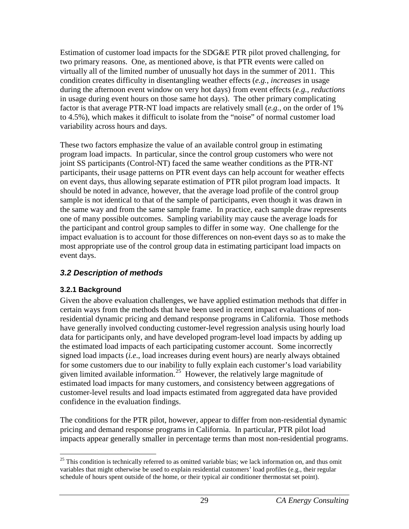Estimation of customer load impacts for the SDG&E PTR pilot proved challenging, for two primary reasons. One, as mentioned above, is that PTR events were called on virtually all of the limited number of unusually hot days in the summer of 2011. This condition creates difficulty in disentangling weather effects (*e.g.*, *increases* in usage during the afternoon event window on very hot days) from event effects (*e.g.*, *reductions* in usage during event hours on those same hot days). The other primary complicating factor is that average PTR-NT load impacts are relatively small (*e.g.*, on the order of 1% to 4.5%), which makes it difficult to isolate from the "noise" of normal customer load variability across hours and days.

These two factors emphasize the value of an available control group in estimating program load impacts. In particular, since the control group customers who were not joint SS participants (Control-NT) faced the same weather conditions as the PTR-NT participants, their usage patterns on PTR event days can help account for weather effects on event days, thus allowing separate estimation of PTR pilot program load impacts. It should be noted in advance, however, that the average load profile of the control group sample is not identical to that of the sample of participants, even though it was drawn in the same way and from the same sample frame. In practice, each sample draw represents one of many possible outcomes. Sampling variability may cause the average loads for the participant and control group samples to differ in some way. One challenge for the impact evaluation is to account for those differences on non-event days so as to make the most appropriate use of the control group data in estimating participant load impacts on event days.

# <span id="page-33-0"></span>*3.2 Description of methods*

# <span id="page-33-1"></span>**3.2.1 Background**

Given the above evaluation challenges, we have applied estimation methods that differ in certain ways from the methods that have been used in recent impact evaluations of nonresidential dynamic pricing and demand response programs in California. Those methods have generally involved conducting customer-level regression analysis using hourly load data for participants only, and have developed program-level load impacts by adding up the estimated load impacts of each participating customer account. Some incorrectly signed load impacts (*i.e*., load increases during event hours) are nearly always obtained for some customers due to our inability to fully explain each customer's load variability given limited available information.<sup>[25](#page-33-2)</sup> However, the relatively large magnitude of estimated load impacts for many customers, and consistency between aggregations of customer-level results and load impacts estimated from aggregated data have provided confidence in the evaluation findings.

The conditions for the PTR pilot, however, appear to differ from non-residential dynamic pricing and demand response programs in California. In particular, PTR pilot load impacts appear generally smaller in percentage terms than most non-residential programs.

<span id="page-33-2"></span> $25$  This condition is technically referred to as omitted variable bias; we lack information on, and thus omit variables that might otherwise be used to explain residential customers' load profiles (e.g., their regular schedule of hours spent outside of the home, or their typical air conditioner thermostat set point).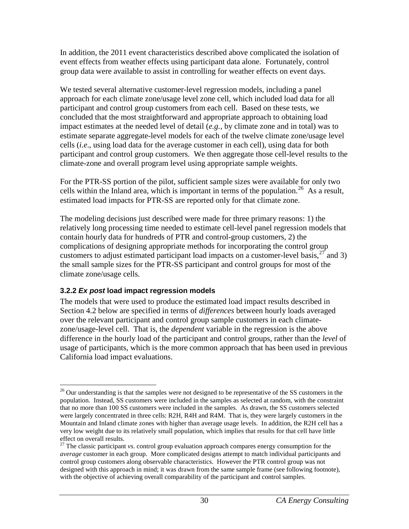In addition, the 2011 event characteristics described above complicated the isolation of event effects from weather effects using participant data alone. Fortunately, control group data were available to assist in controlling for weather effects on event days.

We tested several alternative customer-level regression models, including a panel approach for each climate zone/usage level zone cell, which included load data for all participant and control group customers from each cell. Based on these tests, we concluded that the most straightforward and appropriate approach to obtaining load impact estimates at the needed level of detail (*e.g.*, by climate zone and in total) was to estimate separate aggregate-level models for each of the twelve climate zone/usage level cells (*i.e*., using load data for the average customer in each cell), using data for both participant and control group customers. We then aggregate those cell-level results to the climate-zone and overall program level using appropriate sample weights.

For the PTR-SS portion of the pilot, sufficient sample sizes were available for only two cells within the Inland area, which is important in terms of the population.<sup>26</sup> As a result, estimated load impacts for PTR-SS are reported only for that climate zone.

The modeling decisions just described were made for three primary reasons: 1) the relatively long processing time needed to estimate cell-level panel regression models that contain hourly data for hundreds of PTR and control-group customers, 2) the complications of designing appropriate methods for incorporating the control group customers to adjust estimated participant load impacts on a customer-level basis,  $27$  and 3) the small sample sizes for the PTR-SS participant and control groups for most of the climate zone/usage cells.

# <span id="page-34-0"></span>**3.2.2** *Ex post* **load impact regression models**

The models that were used to produce the estimated load impact results described in Section 4.2 below are specified in terms of *differences* between hourly loads averaged over the relevant participant and control group sample customers in each climatezone/usage-level cell. That is, the *dependent* variable in the regression is the above difference in the hourly load of the participant and control groups, rather than the *level* of usage of participants, which is the more common approach that has been used in previous California load impact evaluations.

<span id="page-34-1"></span><sup>&</sup>lt;sup>26</sup> Our understanding is that the samples were not designed to be representative of the SS customers in the population. Instead, SS customers were included in the samples as selected at random, with the constraint that no more than 100 SS customers were included in the samples. As drawn, the SS customers selected were largely concentrated in three cells: R2H, R4H and R4M. That is, they were largely customers in the Mountain and Inland climate zones with higher than average usage levels. In addition, the R2H cell has a very low weight due to its relatively small population, which implies that results for that cell have little effect on overall results.

<span id="page-34-2"></span><sup>&</sup>lt;sup>27</sup> The classic participant *vs*. control group evaluation approach compares energy consumption for the *average* customer in each group. More complicated designs attempt to match individual participants and control group customers along observable characteristics. However the PTR control group was not designed with this approach in mind; it was drawn from the same sample frame (see following footnote), with the objective of achieving overall comparability of the participant and control samples.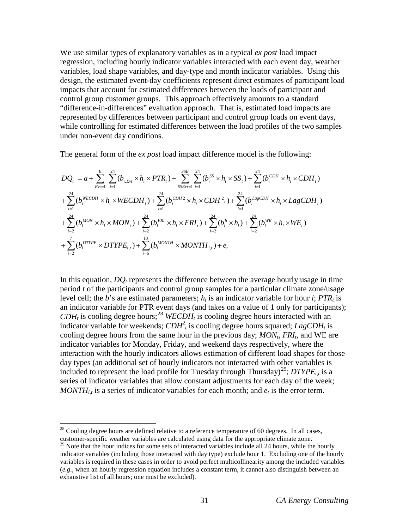We use similar types of explanatory variables as in a typical *ex post* load impact regression, including hourly indicator variables interacted with each event day, weather variables, load shape variables, and day-type and month indicator variables. Using this design, the estimated event-day coefficients represent direct estimates of participant load impacts that account for estimated differences between the loads of participant and control group customer groups. This approach effectively amounts to a standard "difference-in-differences" evaluation approach. That is, estimated load impacts are represented by differences between participant and control group loads on event days, while controlling for estimated differences between the load profiles of the two samples under non-event day conditions.

The general form of the *ex post* load impact difference model is the following:

$$
DQ_{t} = a + \sum_{Ev=1}^{E} \sum_{i=1}^{24} (b_{i, Evt} \times h_{i} \times PTR_{t}) + \sum_{SSEvt=1}^{SSE} \sum_{i=1}^{24} (b_{i}^{SS} \times h_{i} \times SS_{t}) + \sum_{i=1}^{24} (b_{i}^{CDH} \times h_{i} \times CDH_{t})
$$
  
+ 
$$
\sum_{i=1}^{24} (b_{i}^{WECDH} \times h_{i} \times WECDH_{t}) + \sum_{i=1}^{24} (b_{i}^{CDH2} \times h_{i} \times CDH_{t}) + \sum_{i=1}^{24} (b_{i}^{LagCDH} \times h_{i} \times LagCDH_{t})
$$
  
+ 
$$
\sum_{i=2}^{24} (b_{i}^{MON} \times h_{i} \times MON_{t}) + \sum_{i=2}^{24} (b_{i}^{FRI} \times h_{i} \times FRI_{t}) + \sum_{i=2}^{24} (b_{i}^{h} \times h_{i}) + \sum_{i=2}^{24} (b_{i}^{WE} \times h_{i} \times WE_{t})
$$
  
+ 
$$
\sum_{i=2}^{7} (b_{i}^{DTYPE} \times DTYPE_{i,t}) + \sum_{i=6}^{10} (b_{i}^{MONTH} \times MONTH_{i,t}) + e_{t}
$$

In this equation,  $DQ_t$  represents the difference between the average hourly usage in time period *t* of the participants and control group samples for a particular climate zone/usage level cell; the *b*'s are estimated parameters;  $h_i$  is an indicator variable for hour *i*; *PTR<sub>t</sub>* is an indicator variable for PTR event days (and takes on a value of 1 only for participants);  $CDH_t$  is cooling degree hours;<sup>[28](#page-35-0)</sup> *WECDH<sub>t</sub>* is cooling degree hours interacted with an indicator variable for weekends;  $CDH_t^2$  is cooling degree hours squared;  $LagCDH_t$  is cooling degree hours from the same hour in the previous day;  $MON<sub>t</sub>$ ,  $FRI<sub>t</sub>$ , and WE are indicator variables for Monday, Friday, and weekend days respectively, where the interaction with the hourly indicators allows estimation of different load shapes for those day types (an additional set of hourly indicators not interacted with other variables is included to represent the load profile for Tuesday through Thursday)<sup>[29](#page-35-1)</sup>;  $DTYPE_{i,t}$  is a series of indicator variables that allow constant adjustments for each day of the week;  $MONTH_{i,t}$  is a series of indicator variables for each month; and  $e_t$  is the error term.

<span id="page-35-0"></span> $^{28}$  Cooling degree hours are defined relative to a reference temperature of 60 degrees. In all cases, customer-specific weather variables are calculated using data for the appropriate climate zone.

<span id="page-35-1"></span> $29$  Note that the hour indices for some sets of interacted variables include all 24 hours, while the hourly indicator variables (including those interacted with day type) exclude hour 1. Excluding one of the hourly variables is required in these cases in order to avoid perfect multicollinearity among the included variables (*e.g.*, when an hourly regression equation includes a constant term, it cannot also distinguish between an exhaustive list of all hours; one must be excluded).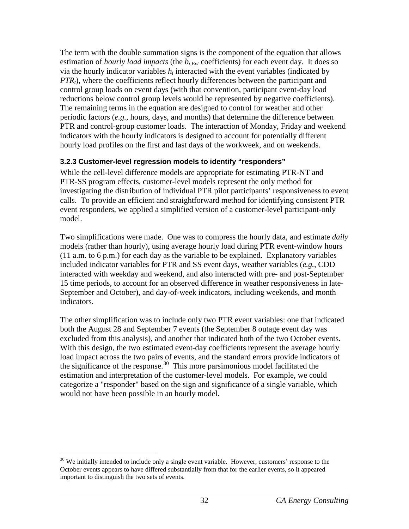The term with the double summation signs is the component of the equation that allows estimation of *hourly load impacts* (the  $b_{i,Evt}$  coefficients) for each event day. It does so via the hourly indicator variables  $h_i$  interacted with the event variables (indicated by *PTR<sub>t</sub>*), where the coefficients reflect hourly differences between the participant and control group loads on event days (with that convention, participant event-day load reductions below control group levels would be represented by negative coefficients). The remaining terms in the equation are designed to control for weather and other periodic factors (*e.g.*, hours, days, and months) that determine the difference between PTR and control-group customer loads. The interaction of Monday, Friday and weekend indicators with the hourly indicators is designed to account for potentially different hourly load profiles on the first and last days of the workweek, and on weekends.

## **3.2.3 Customer-level regression models to identify "responders"**

While the cell-level difference models are appropriate for estimating PTR-NT and PTR-SS program effects, customer-level models represent the only method for investigating the distribution of individual PTR pilot participants' responsiveness to event calls. To provide an efficient and straightforward method for identifying consistent PTR event responders, we applied a simplified version of a customer-level participant-only model.

Two simplifications were made. One was to compress the hourly data, and estimate *daily* models (rather than hourly), using average hourly load during PTR event-window hours (11 a.m. to 6 p.m.) for each day as the variable to be explained. Explanatory variables included indicator variables for PTR and SS event days, weather variables (*e.g.*, CDD interacted with weekday and weekend, and also interacted with pre- and post-September 15 time periods, to account for an observed difference in weather responsiveness in late-September and October), and day-of-week indicators, including weekends, and month indicators.

The other simplification was to include only two PTR event variables: one that indicated both the August 28 and September 7 events (the September 8 outage event day was excluded from this analysis), and another that indicated both of the two October events. With this design, the two estimated event-day coefficients represent the average hourly load impact across the two pairs of events, and the standard errors provide indicators of the significance of the response.<sup>30</sup> This more parsimonious model facilitated the estimation and interpretation of the customer-level models. For example, we could categorize a "responder" based on the sign and significance of a single variable, which would not have been possible in an hourly model.

<span id="page-36-0"></span> $30$  We initially intended to include only a single event variable. However, customers' response to the October events appears to have differed substantially from that for the earlier events, so it appeared important to distinguish the two sets of events.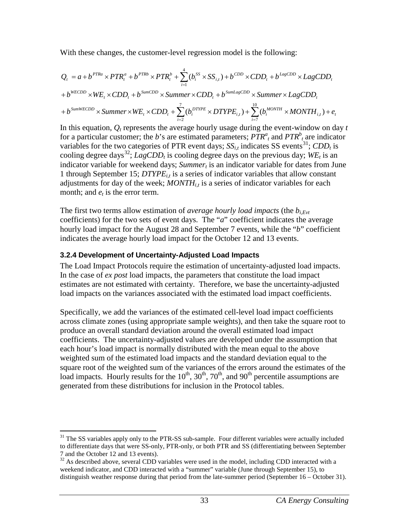With these changes, the customer-level regression model is the following:

$$
Q_{t} = a + b^{PTRa} \times PTR_{t}^{a} + b^{PTRb} \times PTR_{t}^{b} + \sum_{i=1}^{4} (b_{i}^{SS} \times SS_{i,t}) + b^{CDD} \times CDD_{t} + b^{LagCDD} \times LagCDD_{t}
$$

$$
+ b^{WECDD} \times WE_{t} \times CDD_{t} + b^{SumCDD} \times Summer \times CDD_{t} + b^{SumLagCDD} \times Summer \times LagCDD_{t}
$$

$$
+ b^{SumWECDD} \times Summer \times WE_{t} \times CDD_{t} + \sum_{i=2}^{7} (b_{i}^{DTPPE} \times DTYPE_{i,t}) + \sum_{i=7}^{10} (b_{i}^{MONTH} \times MONTH_{i,t}) + e_{t}
$$
  
In this equation *Q*, represents the average hourly usage during the event-window on day.

In this equation,  $Q_t$  represents the average hourly usage during the event-window on day  $t$ for a particular customer; the *b*'s are estimated parameters;  $PTR^a_t$  and  $PTR^b_t$  are indicator variables for the two categories of PTR event days;  $SS_{i,t}$  indicates SS events<sup>31</sup>;  $CDD_t$  is cooling degree days<sup>32</sup>; *LagCDD<sub>t</sub>* is cooling degree days on the previous day; *WE<sub>t</sub>* is an indicator variable for weekend days; *Summer<sub>t</sub>* is an indicator variable for dates from June 1 through September 15; *DTYPE<sub>it</sub>* is a series of indicator variables that allow constant adjustments for day of the week;  $MONTH<sub>i,t</sub>$  is a series of indicator variables for each month; and  $e_t$  is the error term.

The first two terms allow estimation of *average hourly load impacts* (the  $b_{i,Ext}$ coefficients) for the two sets of event days. The "*a*" coefficient indicates the average hourly load impact for the August 28 and September 7 events, while the "*b*" coefficient indicates the average hourly load impact for the October 12 and 13 events.

### **3.2.4 Development of Uncertainty-Adjusted Load Impacts**

The Load Impact Protocols require the estimation of uncertainty-adjusted load impacts. In the case of *ex post* load impacts, the parameters that constitute the load impact estimates are not estimated with certainty. Therefore, we base the uncertainty-adjusted load impacts on the variances associated with the estimated load impact coefficients.

Specifically, we add the variances of the estimated cell-level load impact coefficients across climate zones (using appropriate sample weights), and then take the square root to produce an overall standard deviation around the overall estimated load impact coefficients. The uncertainty-adjusted values are developed under the assumption that each hour's load impact is normally distributed with the mean equal to the above weighted sum of the estimated load impacts and the standard deviation equal to the square root of the weighted sum of the variances of the errors around the estimates of the load impacts. Hourly results for the  $10^{th}$ ,  $30^{th}$ ,  $70^{th}$ , and  $90^{th}$  percentile assumptions are generated from these distributions for inclusion in the Protocol tables.

<span id="page-37-0"></span> $31$  The SS variables apply only to the PTR-SS sub-sample. Four different variables were actually included to differentiate days that were SS-only, PTR-only, or both PTR and SS (differentiating between September 7 and the October 12 and 13 events).

<span id="page-37-1"></span> $32$  As described above, several CDD variables were used in the model, including CDD interacted with a weekend indicator, and CDD interacted with a "summer" variable (June through September 15), to distinguish weather response during that period from the late-summer period (September 16 – October 31).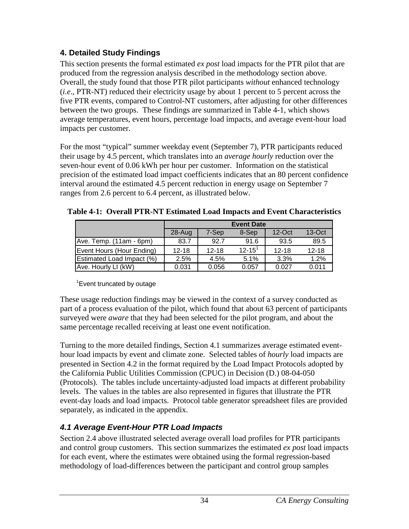## **4. Detailed Study Findings**

This section presents the formal estimated *ex post* load impacts for the PTR pilot that are produced from the regression analysis described in the methodology section above. Overall, the study found that those PTR pilot participants *without* enhanced technology (*i.e*., PTR-NT) reduced their electricity usage by about 1 percent to 5 percent across the five PTR events, compared to Control-NT customers, after adjusting for other differences between the two groups. These findings are summarized in Table 4-1, which shows average temperatures, event hours, percentage load impacts, and average event-hour load impacts per customer.

For the most "typical" summer weekday event (September 7), PTR participants reduced their usage by 4.5 percent, which translates into an *average hourly* reduction over the seven-hour event of 0.06 kWh per hour per customer. Information on the statistical precision of the estimated load impact coefficients indicates that an 80 percent confidence interval around the estimated 4.5 percent reduction in energy usage on September 7 ranges from 2.6 percent to 6.4 percent, as illustrated below.

|                           | <b>Event Date</b> |           |               |           |           |  |  |
|---------------------------|-------------------|-----------|---------------|-----------|-----------|--|--|
|                           | 28-Aug            | 7-Sep     | 8-Sep         | $12$ -Oct | $13-Oct$  |  |  |
| Ave. Temp. (11am - 6pm)   | 83.7              | 92.7      | 91.6          | 93.5      | 89.5      |  |  |
| Event Hours (Hour Ending) | $12 - 18$         | $12 - 18$ | $12 - 15^{1}$ | $12 - 18$ | $12 - 18$ |  |  |
| Estimated Load Impact (%) | 2.5%              | 4.5%      | 5.1%          | 3.3%      | 1.2%      |  |  |
| Ave. Hourly LI (kW)       | 0.031             | 0.056     | 0.057         | 0.027     | 0.011     |  |  |

| Table 4-1: Overall PTR-NT Estimated Load Impacts and Event Characteristics |  |
|----------------------------------------------------------------------------|--|
|----------------------------------------------------------------------------|--|

## <sup>1</sup> Event truncated by outage

These usage reduction findings may be viewed in the context of a survey conducted as part of a process evaluation of the pilot, which found that about 63 percent of participants surveyed were *aware* that they had been selected for the pilot program, and about the same percentage recalled receiving at least one event notification.

Turning to the more detailed findings, Section 4.1 summarizes average estimated eventhour load impacts by event and climate zone. Selected tables of *hourly* load impacts are presented in Section 4.2 in the format required by the Load Impact Protocols adopted by the California Public Utilities Commission (CPUC) in Decision (D.) 08-04-050 (Protocols). The tables include uncertainty-adjusted load impacts at different probability levels. The values in the tables are also represented in figures that illustrate the PTR event-day loads and load impacts. Protocol table generator spreadsheet files are provided separately, as indicated in the appendix.

# *4.1 Average Event-Hour PTR Load Impacts*

Section 2.4 above illustrated selected average overall load profiles for PTR participants and control group customers. This section summarizes the estimated *ex post* load impacts for each event, where the estimates were obtained using the formal regression-based methodology of load-differences between the participant and control group samples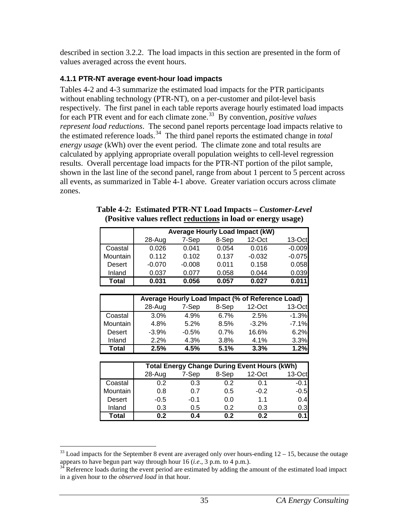described in section 3.2.2. The load impacts in this section are presented in the form of values averaged across the event hours.

## **4.1.1 PTR-NT average event-hour load impacts**

Tables 4-2 and 4-3 summarize the estimated load impacts for the PTR participants without enabling technology (PTR-NT), on a per-customer and pilot-level basis respectively. The first panel in each table reports average hourly estimated load impacts for each PTR event and for each climate zone. [33](#page-39-0) By convention, *positive values represent load reductions*. The second panel reports percentage load impacts relative to the estimated reference loads. [34](#page-39-1) The third panel reports the estimated change in *total energy usage* (kWh) over the event period. The climate zone and total results are calculated by applying appropriate overall population weights to cell-level regression results. Overall percentage load impacts for the PTR-NT portion of the pilot sample, shown in the last line of the second panel, range from about 1 percent to 5 percent across all events, as summarized in Table 4-1 above. Greater variation occurs across climate zones.

| Table 4-2: Estimated PTR-NT Load Impacts – Customer-Level    |
|--------------------------------------------------------------|
| (Positive values reflect reductions in load or energy usage) |

|              | Average Hourly Load Impact (kW) |          |       |           |          |
|--------------|---------------------------------|----------|-------|-----------|----------|
|              | 28-Aug                          | 7-Sep    | 8-Sep | $12$ -Oct | $13-Oct$ |
| Coastal      | 0.026                           | 0.041    | 0.054 | 0.016     | $-0.009$ |
| Mountain I   | 0.112                           | 0.102    | 0.137 | $-0.032$  | $-0.075$ |
| Desert       | $-0.070$                        | $-0.008$ | 0.011 | 0.158     | 0.058    |
| Inland       | 0.037                           | 0.077    | 0.058 | 0.044     | 0.039    |
| <b>Total</b> | 0.031                           | 0.056    | 0.057 | 0.027     | 0.011    |

|               |         |         |       | Average Hourly Load Impact (% of Reference Load) |         |
|---------------|---------|---------|-------|--------------------------------------------------|---------|
|               | 28-Aug  | 7-Sep   | 8-Sep | $12$ -Oct                                        | 13-Oct  |
| Coastal       | 3.0%    | 4.9%    | 6.7%  | 2.5%                                             | $-1.3%$ |
| Mountain      | 4.8%    | 5.2%    | 8.5%  | $-3.2%$                                          | $-7.1%$ |
| <b>Desert</b> | $-3.9%$ | $-0.5%$ | 0.7%  | 16.6%                                            | 6.2%    |
| Inland        | 2.2%    | 4.3%    | 3.8%  | 4.1%                                             | 3.3%    |
| Total         | 2.5%    | 4.5%    | 5.1%  | 3.3%                                             | 1.2%    |

|               | <b>Total Energy Change During Event Hours (kWh)</b> |        |       |        |         |  |  |  |
|---------------|-----------------------------------------------------|--------|-------|--------|---------|--|--|--|
|               | 28-Aug                                              | 7-Sep  | 8-Sep | 12-Oct | 13-Oct  |  |  |  |
| Coastal       | 0.2                                                 | 0.3    | 0.2   | 0.1    | $-0.11$ |  |  |  |
| Mountain      | 0.8                                                 | 0.7    | 0.5   | $-0.2$ | $-0.5$  |  |  |  |
| <b>Desert</b> | $-0.5$                                              | $-0.1$ | 0.0   | 1.1    | 0.4     |  |  |  |
| Inland        | 0.3                                                 | 0.5    | 0.2   | 0.3    | 0.3     |  |  |  |
| Total         | 0.2                                                 | 0.4    | 0.2   | 0.2    | 0.1     |  |  |  |

<span id="page-39-0"></span> $33$  Load impacts for the September 8 event are averaged only over hours-ending  $12 - 15$ , because the outage appears to have begun part way through hour 16 (*i.e.*, 3 p.m. to 4 p.m.).<br><sup>34</sup> Reference loads during the event period are estimated by adding the amount of the estimated load impact

<span id="page-39-1"></span>in a given hour to the *observed load* in that hour.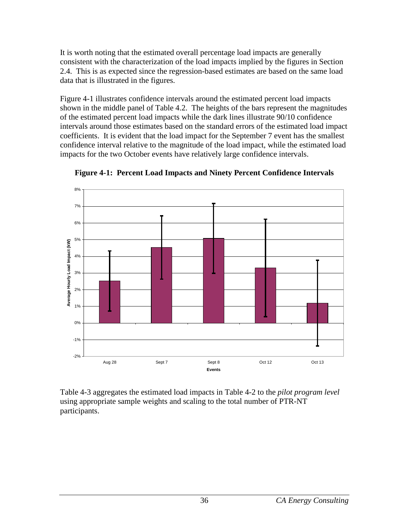It is worth noting that the estimated overall percentage load impacts are generally consistent with the characterization of the load impacts implied by the figures in Section 2.4. This is as expected since the regression-based estimates are based on the same load data that is illustrated in the figures.

Figure 4-1 illustrates confidence intervals around the estimated percent load impacts shown in the middle panel of Table 4.2. The heights of the bars represent the magnitudes of the estimated percent load impacts while the dark lines illustrate 90/10 confidence intervals around those estimates based on the standard errors of the estimated load impact coefficients. It is evident that the load impact for the September 7 event has the smallest confidence interval relative to the magnitude of the load impact, while the estimated load impacts for the two October events have relatively large confidence intervals.



**Figure 4-1: Percent Load Impacts and Ninety Percent Confidence Intervals** 

Table 4-3 aggregates the estimated load impacts in Table 4-2 to the *pilot program level* using appropriate sample weights and scaling to the total number of PTR-NT participants.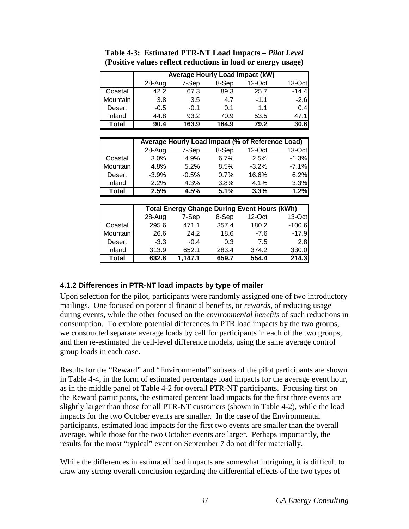|                 |        | <b>Average Hourly Load Impact (kW)</b> |       |           |         |
|-----------------|--------|----------------------------------------|-------|-----------|---------|
|                 | 28-Aug | 7-Sep                                  | 8-Sep | $12$ -Oct | 13-Octl |
| Coastal         | 422    | 67.3                                   | 89.3  | 25.7      | $-14.4$ |
| <b>Mountain</b> | 3.8    | 3.5                                    | 4.7   | $-1.1$    | $-2.6$  |
| Desert          | $-0.5$ | $-0.1$                                 | O 1   | 11        | 0.4     |
| Inland          | 44.8   | 93.2                                   | 70.9  | 53.5      | 47.1    |
| Total           | 90.4   | 163.9                                  | 164.9 | 79.2      | 30.6    |

**Table 4-3: Estimated PTR-NT Load Impacts –** *Pilot Level*  **(Positive values reflect reductions in load or energy usage)**

|               |         |         |       | Average Hourly Load Impact (% of Reference Load) |         |
|---------------|---------|---------|-------|--------------------------------------------------|---------|
|               | 28-Aug  | 7-Sep   | 8-Sep | $12$ -Oct                                        | 13-Oct  |
| Coastal       | $3.0\%$ | 4.9%    | 6.7%  | 2.5%                                             | $-1.3%$ |
| Mountain      | 4.8%    | 5.2%    | 8.5%  | $-3.2\%$                                         | $-7.1%$ |
| <b>Desert</b> | $-3.9%$ | $-0.5%$ | 0.7%  | 16.6%                                            | 6.2%    |
| Inland        | 2.2%    | 4.3%    | 3.8%  | 4.1%                                             | 3.3%    |
| Total         | 2.5%    | 4.5%    | 5.1%  | 3.3%                                             | 1.2%    |

|               | <b>Total Energy Change During Event Hours (kWh)</b> |         |       |           |          |  |  |
|---------------|-----------------------------------------------------|---------|-------|-----------|----------|--|--|
|               | 28-Aug                                              | 7-Sep   | 8-Sep | $12$ -Oct | 13-Oct   |  |  |
| Coastal       | 295.6                                               | 471.1   | 357.4 | 180.2     | $-100.6$ |  |  |
| Mountain      | 26.6                                                | 24.2    | 18.6  | $-7.6$    | $-17.9$  |  |  |
| <b>Desert</b> | $-3.3$                                              | $-0.4$  | 0.3   | 7.5       | 2.8      |  |  |
| Inland        | 313.9                                               | 652.1   | 283.4 | 374.2     | 330.0    |  |  |
| Total         | 632.8                                               | 1.147.1 | 659.7 | 554.4     | 214.3    |  |  |

## **4.1.2 Differences in PTR-NT load impacts by type of mailer**

Upon selection for the pilot, participants were randomly assigned one of two introductory mailings. One focused on potential financial benefits, or *rewards*, of reducing usage during events, while the other focused on the *environmental benefits* of such reductions in consumption. To explore potential differences in PTR load impacts by the two groups, we constructed separate average loads by cell for participants in each of the two groups, and then re-estimated the cell-level difference models, using the same average control group loads in each case.

Results for the "Reward" and "Environmental" subsets of the pilot participants are shown in Table 4-4, in the form of estimated percentage load impacts for the average event hour, as in the middle panel of Table 4-2 for overall PTR-NT participants. Focusing first on the Reward participants, the estimated percent load impacts for the first three events are slightly larger than those for all PTR-NT customers (shown in Table 4-2), while the load impacts for the two October events are smaller. In the case of the Environmental participants, estimated load impacts for the first two events are smaller than the overall average, while those for the two October events are larger. Perhaps importantly, the results for the most "typical" event on September 7 do not differ materially.

While the differences in estimated load impacts are somewhat intriguing, it is difficult to draw any strong overall conclusion regarding the differential effects of the two types of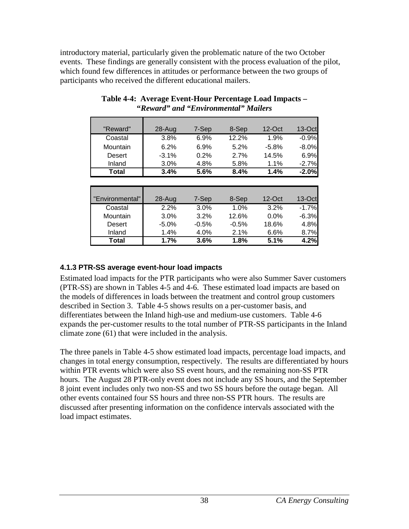introductory material, particularly given the problematic nature of the two October events. These findings are generally consistent with the process evaluation of the pilot, which found few differences in attitudes or performance between the two groups of participants who received the different educational mailers.

| "Reward"        | 28-Aug     | 7-Sep | 8-Sep | $12$ -Oct | $13-Oct$ |
|-----------------|------------|-------|-------|-----------|----------|
| Coastal         | 3.8%       | 6.9%  | 12.2% | 1.9%      | $-0.9%$  |
| Mountain        | 6.2%       | 6.9%  | 5.2%  | $-5.8%$   | $-8.0%$  |
| Desert          | $-3.1%$    | 0.2%  | 2.7%  | 14.5%     | 6.9%     |
| Inland          | 3.0%       | 4.8%  | 5.8%  | 1.1%      | $-2.7%$  |
| Total           | 3.4%       | 5.6%  | 8.4%  | 1.4%      | $-2.0%$  |
|                 |            |       |       |           |          |
|                 |            |       |       |           |          |
| "Environmental" | $28 - Aug$ | 7-Sep | 8-Sep | $12$ -Oct | $13-Oct$ |
| Coastal         | 2.2%       | 3.0%  | 1.0%  | 3.2%      | $-1.7%$  |

Mountain 3.0% 3.2% 12.6% 0.0% -6.3% Desert | -5.0% -0.5% -0.5% 18.6% 4.8% Inland 1.4% 4.0% 2.1% 6.6% 8.7% **Total 1.7% 3.6% 1.8% 5.1% 4.2%**

#### **Table 4-4: Average Event-Hour Percentage Load Impacts – "***Reward" and "Environmental" Mailers*

## **4.1.3 PTR-SS average event-hour load impacts**

Estimated load impacts for the PTR participants who were also Summer Saver customers (PTR-SS) are shown in Tables 4-5 and 4-6. These estimated load impacts are based on the models of differences in loads between the treatment and control group customers described in Section 3. Table 4-5 shows results on a per-customer basis, and differentiates between the Inland high-use and medium-use customers. Table 4-6 expands the per-customer results to the total number of PTR-SS participants in the Inland climate zone (61) that were included in the analysis.

The three panels in Table 4-5 show estimated load impacts, percentage load impacts, and changes in total energy consumption, respectively. The results are differentiated by hours within PTR events which were also SS event hours, and the remaining non-SS PTR hours. The August 28 PTR-only event does not include any SS hours, and the September 8 joint event includes only two non-SS and two SS hours before the outage began. All other events contained four SS hours and three non-SS PTR hours. The results are discussed after presenting information on the confidence intervals associated with the load impact estimates.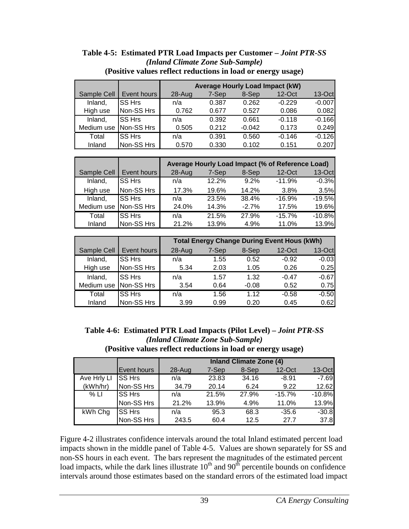|             |               |            | <b>Average Hourly Load Impact (kW)</b> |          |           |          |  |  |
|-------------|---------------|------------|----------------------------------------|----------|-----------|----------|--|--|
| Sample Cell | Event hours   | $28 - Aug$ | 7-Sep                                  | 8-Sep    | $12$ -Oct | $13-Oct$ |  |  |
| Inland,     | <b>SS Hrs</b> | n/a        | 0.387                                  | 0.262    | $-0.229$  | $-0.007$ |  |  |
| High use    | Non-SS Hrs    | 0.762      | 0.677                                  | 0.527    | 0.086     | 0.082    |  |  |
| Inland,     | <b>SS Hrs</b> | n/a        | 0.392                                  | 0.661    | $-0.118$  | $-0.166$ |  |  |
| Medium use  | Non-SS Hrs    | 0.505      | 0.212                                  | $-0.042$ | 0.173     | 0.249    |  |  |
| Total       | SS Hrs        | n/a        | 0.391                                  | 0.560    | $-0.146$  | $-0.126$ |  |  |
| Inland      | Non-SS Hrs    | 0.570      | 0.330                                  | 0.102    | 0.151     | 0.207    |  |  |

#### **Table 4-5: Estimated PTR Load Impacts per Customer –** *Joint PTR-SS (Inland Climate Zone Sub-Sample)* **(Positive values reflect reductions in load or energy usage)**

|             |               |        |       |         | Average Hourly Load Impact (% of Reference Load) |          |
|-------------|---------------|--------|-------|---------|--------------------------------------------------|----------|
| Sample Cell | Event hours   | 28-Aug | 7-Sep | 8-Sep   | $12$ -Oct                                        | $13-Oct$ |
| Inland,     | <b>SS Hrs</b> | n/a    | 12.2% | 9.2%    | $-11.9%$                                         | $-0.3%$  |
| High use    | Non-SS Hrs    | 17.3%  | 19.6% | 14.2%   | 3.8%                                             | 3.5%     |
| Inland,     | <b>SS Hrs</b> | n/a    | 23.5% | 38.4%   | $-16.9%$                                         | $-19.5%$ |
| Medium use  | Non-SS Hrs    | 24.0%  | 14.3% | $-2.7%$ | 17.5%                                            | 19.6%    |
| Total       | <b>SS Hrs</b> | n/a    | 21.5% | 27.9%   | $-15.7%$                                         | $-10.8%$ |
| Inland      | Non-SS Hrs    | 21.2%  | 13.9% | 4.9%    | 11.0%                                            | 13.9%    |

|             |               |            |       |         | <b>Total Energy Change During Event Hous (kWh)</b> |          |
|-------------|---------------|------------|-------|---------|----------------------------------------------------|----------|
| Sample Cell | Event hours   | $28 - Aug$ | 7-Sep | 8-Sep   | $12$ -Oct                                          | $13-Oct$ |
| Inland,     | <b>SS Hrs</b> | n/a        | 1.55  | 0.52    | $-0.92$                                            | $-0.03$  |
| High use    | Non-SS Hrs    | 5.34       | 2.03  | 1.05    | 0.26                                               | 0.25     |
| Inland,     | <b>SS Hrs</b> | n/a        | 1.57  | 1.32    | $-0.47$                                            | $-0.67$  |
| Medium use  | Non-SS Hrs    | 3.54       | 0.64  | $-0.08$ | 0.52                                               | 0.75     |
| Total       | <b>SS Hrs</b> | n/a        | 1.56  | 1.12    | $-0.58$                                            | $-0.50$  |
| Inland      | Non-SS Hrs    | 3.99       | 0.99  | 0.20    | 0.45                                               | 0.62     |

**Table 4-6: Estimated PTR Load Impacts (Pilot Level) –** *Joint PTR-SS (Inland Climate Zone Sub-Sample)* **(Positive values reflect reductions in load or energy usage)**

|             |               | <b>Inland Climate Zone (4)</b> |       |       |          |          |  |
|-------------|---------------|--------------------------------|-------|-------|----------|----------|--|
|             | Event hours   | $28 - Aug$                     | 7-Sep | 8-Sep | 12-Oct   | 13-Oct   |  |
| Ave Hrly LI | <b>SS Hrs</b> | n/a                            | 23.83 | 34.16 | $-8.91$  | $-7.69$  |  |
| (kWh/hr)    | Non-SS Hrs    | 34.79                          | 20.14 | 6.24  | 9.22     | 12.62    |  |
| % LI        | <b>SS Hrs</b> | n/a                            | 21.5% | 27.9% | $-15.7%$ | $-10.8%$ |  |
|             | Non-SS Hrs    | 21.2%                          | 13.9% | 4.9%  | 11.0%    | 13.9%    |  |
| kWh Chg     | <b>SS Hrs</b> | n/a                            | 95.3  | 68.3  | $-35.6$  | $-30.8$  |  |
|             | Non-SS Hrs    | 243.5                          | 60.4  | 12.5  | 27.7     | 37.8     |  |

Figure 4-2 illustrates confidence intervals around the total Inland estimated percent load impacts shown in the middle panel of Table 4-5. Values are shown separately for SS and non-SS hours in each event. The bars represent the magnitudes of the estimated percent  $\frac{1}{2}$  and  $\frac{1}{2}$  and  $\frac{1}{2}$  can be started the subsequence of the subsequences of the confidence load impacts, while the dark lines illustrate  $10<sup>th</sup>$  and  $90<sup>th</sup>$  percentile bounds on confidence intervals around those estimates based on the standard errors of the estimated load impact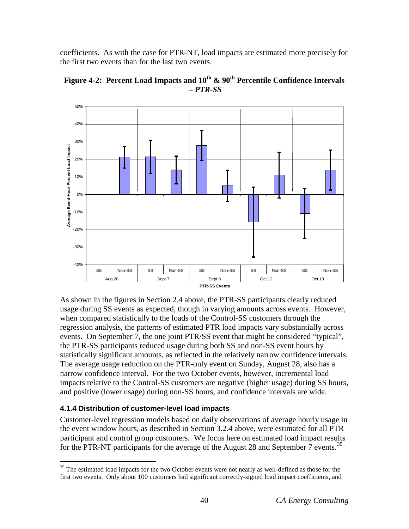coefficients. As with the case for PTR-NT, load impacts are estimated more precisely for the first two events than for the last two events.



Figure 4-2: Percent Load Impacts and  $10^{th}$  &  $90^{th}$  Percentile Confidence Intervals **–** *PTR-SS*

As shown in the figures in Section 2.4 above, the PTR-SS participants clearly reduced usage during SS events as expected, though in varying amounts across events. However, when compared statistically to the loads of the Control-SS customers through the regression analysis, the patterns of estimated PTR load impacts vary substantially across events. On September 7, the one joint PTR/SS event that might be considered "typical", the PTR-SS participants reduced usage during both SS and non-SS event hours by statistically significant amounts, as reflected in the relatively narrow confidence intervals. The average usage reduction on the PTR-only event on Sunday, August 28, also has a narrow confidence interval. For the two October events, however, incremental load impacts relative to the Control-SS customers are negative (higher usage) during SS hours, and positive (lower usage) during non-SS hours, and confidence intervals are wide.

## **4.1.4 Distribution of customer-level load impacts**

Customer-level regression models based on daily observations of average hourly usage in the event window hours, as described in Section 3.2.4 above, were estimated for all PTR participant and control group customers. We focus here on estimated load impact results for the PTR-NT participants for the average of the August 28 and September 7 events.<sup>[35](#page-44-0)</sup>

<span id="page-44-0"></span><sup>&</sup>lt;sup>35</sup> The estimated load impacts for the two October events were not nearly as well-defined as those for the first two events. Only about 100 customers had significant correctly-signed load impact coefficients, and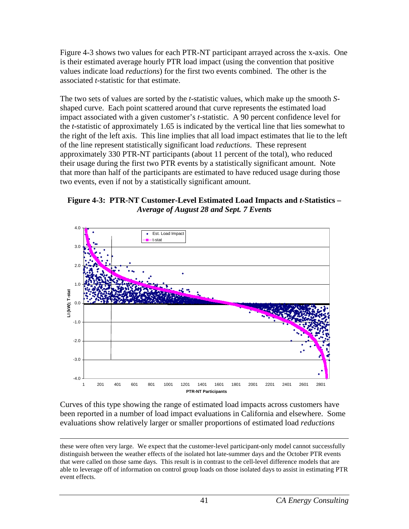Figure 4-3 shows two values for each PTR-NT participant arrayed across the x-axis. One is their estimated average hourly PTR load impact (using the convention that positive values indicate load *reductions*) for the first two events combined. The other is the associated *t*-statistic for that estimate.

The two sets of values are sorted by the *t*-statistic values, which make up the smooth *S*shaped curve. Each point scattered around that curve represents the estimated load impact associated with a given customer's *t*-statistic. A 90 percent confidence level for the *t*-statistic of approximately 1.65 is indicated by the vertical line that lies somewhat to the right of the left axis. This line implies that all load impact estimates that lie to the left of the line represent statistically significant load *reductions*. These represent approximately 330 PTR-NT participants (about 11 percent of the total), who reduced their usage during the first two PTR events by a statistically significant amount. Note that more than half of the participants are estimated to have reduced usage during those two events, even if not by a statistically significant amount.

**Figure 4-3: PTR-NT Customer-Level Estimated Load Impacts and** *t***-Statistics –** *Average of August 28 and Sept. 7 Events* 



Curves of this type showing the range of estimated load impacts across customers have been reported in a number of load impact evaluations in California and elsewhere. Some evaluations show relatively larger or smaller proportions of estimated load *reductions*

 these were often very large. We expect that the customer-level participant-only model cannot successfully distinguish between the weather effects of the isolated hot late-summer days and the October PTR events that were called on those same days. This result is in contrast to the cell-level difference models that are able to leverage off of information on control group loads on those isolated days to assist in estimating PTR event effects.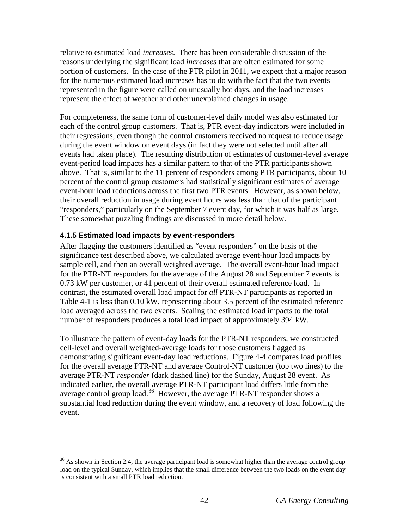relative to estimated load *increases*. There has been considerable discussion of the reasons underlying the significant load *increases* that are often estimated for some portion of customers. In the case of the PTR pilot in 2011, we expect that a major reason for the numerous estimated load increases has to do with the fact that the two events represented in the figure were called on unusually hot days, and the load increases represent the effect of weather and other unexplained changes in usage.

For completeness, the same form of customer-level daily model was also estimated for each of the control group customers. That is, PTR event-day indicators were included in their regressions, even though the control customers received no request to reduce usage during the event window on event days (in fact they were not selected until after all events had taken place). The resulting distribution of estimates of customer-level average event-period load impacts has a similar pattern to that of the PTR participants shown above. That is, similar to the 11 percent of responders among PTR participants, about 10 percent of the control group customers had statistically significant estimates of average event-hour load reductions across the first two PTR events. However, as shown below, their overall reduction in usage during event hours was less than that of the participant "responders," particularly on the September 7 event day, for which it was half as large. These somewhat puzzling findings are discussed in more detail below.

## **4.1.5 Estimated load impacts by event-responders**

After flagging the customers identified as "event responders" on the basis of the significance test described above, we calculated average event-hour load impacts by sample cell, and then an overall weighted average. The overall event-hour load impact for the PTR-NT responders for the average of the August 28 and September 7 events is 0.73 kW per customer, or 41 percent of their overall estimated reference load. In contrast, the estimated overall load impact for *all* PTR-NT participants as reported in Table 4-1 is less than 0.10 kW, representing about 3.5 percent of the estimated reference load averaged across the two events. Scaling the estimated load impacts to the total number of responders produces a total load impact of approximately 394 kW.

To illustrate the pattern of event-day loads for the PTR-NT responders, we constructed cell-level and overall weighted-average loads for those customers flagged as demonstrating significant event-day load reductions. Figure 4-4 compares load profiles for the overall average PTR-NT and average Control-NT customer (top two lines) to the average PTR-NT *responder* (dark dashed line) for the Sunday, August 28 event. As indicated earlier, the overall average PTR-NT participant load differs little from the average control group load.<sup>36</sup> However, the average PTR-NT responder shows a substantial load reduction during the event window, and a recovery of load following the event.

<span id="page-46-0"></span> $36$  As shown in Section 2.4, the average participant load is somewhat higher than the average control group load on the typical Sunday, which implies that the small difference between the two loads on the event day is consistent with a small PTR load reduction.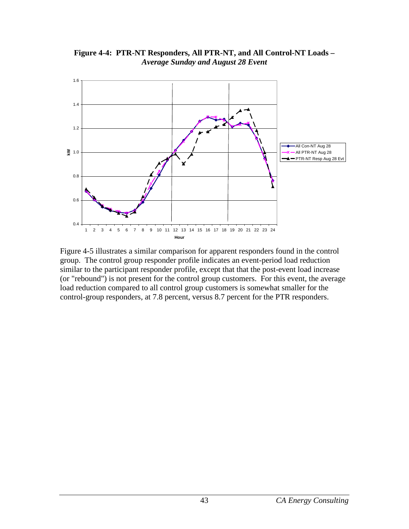

**Figure 4-4: PTR-NT Responders, All PTR-NT, and All Control-NT Loads –** *Average Sunday and August 28 Event*  

Figure 4-5 illustrates a similar comparison for apparent responders found in the control group. The control group responder profile indicates an event-period load reduction similar to the participant responder profile, except that that the post-event load increase (or "rebound") is not present for the control group customers. For this event, the average load reduction compared to all control group customers is somewhat smaller for the control-group responders, at 7.8 percent, versus 8.7 percent for the PTR responders.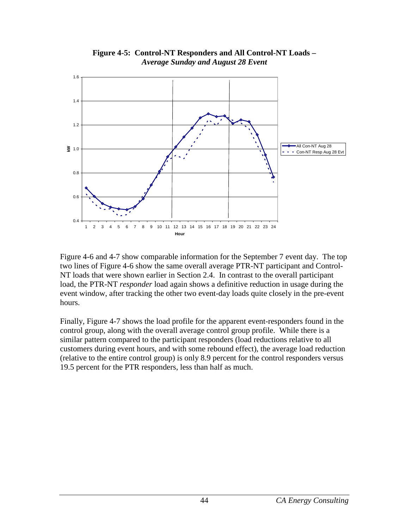

**Figure 4-5: Control-NT Responders and All Control-NT Loads –**  *Average Sunday and August 28 Event* 

Figure 4-6 and 4-7 show comparable information for the September 7 event day. The top two lines of Figure 4-6 show the same overall average PTR-NT participant and Control-NT loads that were shown earlier in Section 2.4. In contrast to the overall participant load, the PTR-NT *responder* load again shows a definitive reduction in usage during the event window, after tracking the other two event-day loads quite closely in the pre-event hours.

Finally, Figure 4-7 shows the load profile for the apparent event-responders found in the control group, along with the overall average control group profile. While there is a similar pattern compared to the participant responders (load reductions relative to all customers during event hours, and with some rebound effect), the average load reduction (relative to the entire control group) is only 8.9 percent for the control responders versus 19.5 percent for the PTR responders, less than half as much.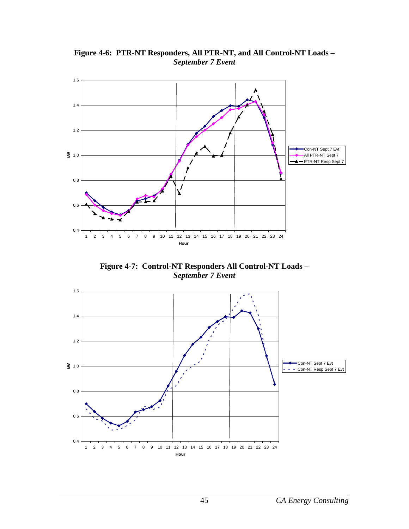

**Figure 4-6: PTR-NT Responders, All PTR-NT, and All Control-NT Loads –** *September 7 Event*

**Figure 4-7: Control-NT Responders All Control-NT Loads –** *September 7 Event* 

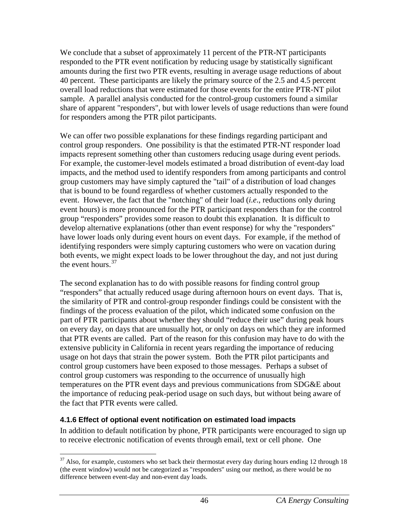We conclude that a subset of approximately 11 percent of the PTR-NT participants responded to the PTR event notification by reducing usage by statistically significant amounts during the first two PTR events, resulting in average usage reductions of about 40 percent. These participants are likely the primary source of the 2.5 and 4.5 percent overall load reductions that were estimated for those events for the entire PTR-NT pilot sample. A parallel analysis conducted for the control-group customers found a similar share of apparent "responders", but with lower levels of usage reductions than were found for responders among the PTR pilot participants.

We can offer two possible explanations for these findings regarding participant and control group responders. One possibility is that the estimated PTR-NT responder load impacts represent something other than customers reducing usage during event periods. For example, the customer-level models estimated a broad distribution of event-day load impacts, and the method used to identify responders from among participants and control group customers may have simply captured the "tail" of a distribution of load changes that is bound to be found regardless of whether customers actually responded to the event. However, the fact that the "notching" of their load (*i.e*., reductions only during event hours) is more pronounced for the PTR participant responders than for the control group "responders" provides some reason to doubt this explanation. It is difficult to develop alternative explanations (other than event response) for why the "responders" have lower loads only during event hours on event days. For example, if the method of identifying responders were simply capturing customers who were on vacation during both events, we might expect loads to be lower throughout the day, and not just during the event hours.<sup>37</sup>

The second explanation has to do with possible reasons for finding control group "responders" that actually reduced usage during afternoon hours on event days. That is, the similarity of PTR and control-group responder findings could be consistent with the findings of the process evaluation of the pilot, which indicated some confusion on the part of PTR participants about whether they should "reduce their use" during peak hours on every day, on days that are unusually hot, or only on days on which they are informed that PTR events are called. Part of the reason for this confusion may have to do with the extensive publicity in California in recent years regarding the importance of reducing usage on hot days that strain the power system. Both the PTR pilot participants and control group customers have been exposed to those messages. Perhaps a subset of control group customers was responding to the occurrence of unusually high temperatures on the PTR event days and previous communications from SDG&E about the importance of reducing peak-period usage on such days, but without being aware of the fact that PTR events were called.

#### **4.1.6 Effect of optional event notification on estimated load impacts**

In addition to default notification by phone, PTR participants were encouraged to sign up to receive electronic notification of events through email, text or cell phone. One

<span id="page-50-0"></span> $37$  Also, for example, customers who set back their thermostat every day during hours ending 12 through 18 (the event window) would not be categorized as "responders" using our method, as there would be no difference between event-day and non-event day loads.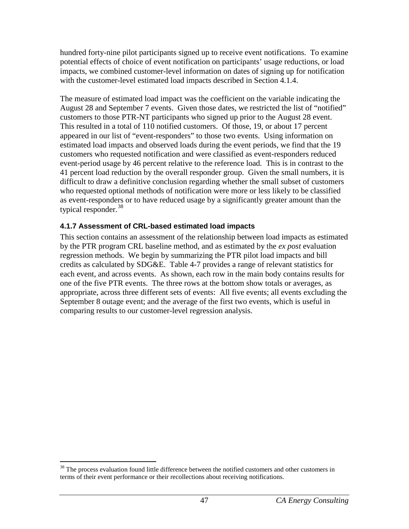hundred forty-nine pilot participants signed up to receive event notifications. To examine potential effects of choice of event notification on participants' usage reductions, or load impacts, we combined customer-level information on dates of signing up for notification with the customer-level estimated load impacts described in Section 4.1.4.

The measure of estimated load impact was the coefficient on the variable indicating the August 28 and September 7 events. Given those dates, we restricted the list of "notified" customers to those PTR-NT participants who signed up prior to the August 28 event. This resulted in a total of 110 notified customers. Of those, 19, or about 17 percent appeared in our list of "event-responders" to those two events. Using information on estimated load impacts and observed loads during the event periods, we find that the 19 customers who requested notification and were classified as event-responders reduced event-period usage by 46 percent relative to the reference load. This is in contrast to the 41 percent load reduction by the overall responder group. Given the small numbers, it is difficult to draw a definitive conclusion regarding whether the small subset of customers who requested optional methods of notification were more or less likely to be classified as event-responders or to have reduced usage by a significantly greater amount than the typical responder.  $38$ 

### **4.1.7 Assessment of CRL-based estimated load impacts**

This section contains an assessment of the relationship between load impacts as estimated by the PTR program CRL baseline method, and as estimated by the *ex post* evaluation regression methods. We begin by summarizing the PTR pilot load impacts and bill credits as calculated by SDG&E. Table 4-7 provides a range of relevant statistics for each event, and across events. As shown, each row in the main body contains results for one of the five PTR events. The three rows at the bottom show totals or averages, as appropriate, across three different sets of events: All five events; all events excluding the September 8 outage event; and the average of the first two events, which is useful in comparing results to our customer-level regression analysis.

<span id="page-51-0"></span><sup>&</sup>lt;sup>38</sup> The process evaluation found little difference between the notified customers and other customers in terms of their event performance or their recollections about receiving notifications.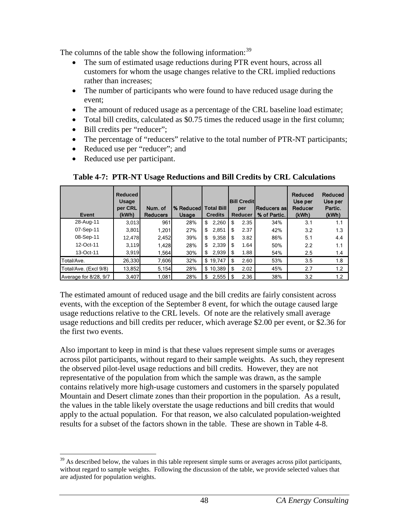The columns of the table show the following information:<sup>[39](#page-52-0)</sup>

- The sum of estimated usage reductions during PTR event hours, across all customers for whom the usage changes relative to the CRL implied reductions rather than increases;
- The number of participants who were found to have reduced usage during the event;
- The amount of reduced usage as a percentage of the CRL baseline load estimate;
- Total bill credits, calculated as \$0.75 times the reduced usage in the first column;
- Bill credits per "reducer";
- The percentage of "reducers" relative to the total number of PTR-NT participants;
- Reduced use per "reducer"; and
- Reduced use per participant.

| Event                 | Reduced<br>Usage<br>per CRL<br>(kWh) | Num. of<br><b>Reducers</b> | <b>% Reduced</b><br><b>Usage</b> | <b>Total Bill</b><br><b>Credits</b> |      | <b>Bill Creditl</b><br>per<br>Reducer | <b>Reducers as</b><br>% of Partic. | Reduced<br>Use per<br>Reducer<br>(kWh) | Reduced<br>Use per<br>Partic.<br>(kWh) |
|-----------------------|--------------------------------------|----------------------------|----------------------------------|-------------------------------------|------|---------------------------------------|------------------------------------|----------------------------------------|----------------------------------------|
| 28-Aug-11             | 3.013                                | 961                        | 28%                              | 2,260<br>\$                         | \$   | 2.35                                  | 34%                                | 3.1                                    | 1.1                                    |
| 07-Sep-11             | 3.801                                | 1,201                      | 27%                              | \$<br>2,851                         | S    | 2.37                                  | 42%                                | 3.2                                    | 1.3                                    |
| 08-Sep-11             | 12,478                               | 2,452                      | 39%                              | \$<br>9,358                         | \$   | 3.82                                  | 86%                                | 5.1                                    | 4.4                                    |
| 12-Oct-11             | 3.119                                | 1,428                      | 28%                              | \$<br>2,339                         | -S   | 1.64                                  | 50%                                | 2.2                                    | 1.1                                    |
| 13-Oct-11             | 3,919                                | 1,564                      | 30%                              | 2,939<br>S                          | - \$ | 1.88                                  | 54%                                | 2.5                                    | 1.4                                    |
| Total/Ave.            | 26,330                               | 7,606                      | 32%                              | \$19.747                            | \$   | 2.60                                  | 53%                                | 3.5                                    | 1.8                                    |
| Total/Ave. (Excl 9/8) | 13,852                               | 5,154                      | 28%                              | \$10,389                            | l \$ | 2.02                                  | 45%                                | 2.7                                    | 1.2                                    |
| Average for 8/28, 9/7 | 3,407                                | 1,081                      | 28%                              | 2,555<br>\$                         | l \$ | 2.36                                  | 38%                                | 3.2                                    | 1.2                                    |

**Table 4-7: PTR-NT Usage Reductions and Bill Credits by CRL Calculations**

The estimated amount of reduced usage and the bill credits are fairly consistent across events, with the exception of the September 8 event, for which the outage caused large usage reductions relative to the CRL levels. Of note are the relatively small average usage reductions and bill credits per reducer, which average \$2.00 per event, or \$2.36 for the first two events.

Also important to keep in mind is that these values represent simple sums or averages across pilot participants, without regard to their sample weights. As such, they represent the observed pilot-level usage reductions and bill credits. However, they are not representative of the population from which the sample was drawn, as the sample contains relatively more high-usage customers and customers in the sparsely populated Mountain and Desert climate zones than their proportion in the population. As a result, the values in the table likely overstate the usage reductions and bill credits that would apply to the actual population. For that reason, we also calculated population-weighted results for a subset of the factors shown in the table. These are shown in Table 4-8.

<span id="page-52-0"></span> $39$  As described below, the values in this table represent simple sums or averages across pilot participants, without regard to sample weights. Following the discussion of the table, we provide selected values that are adjusted for population weights.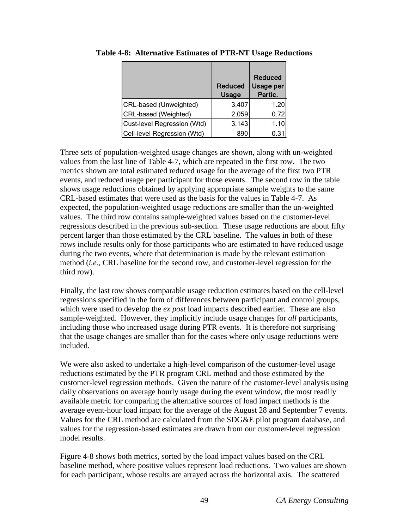|                             | <b>Reduced</b><br>Usage | <b>Reduced</b><br>Usage per<br>Partic. |
|-----------------------------|-------------------------|----------------------------------------|
| CRL-based (Unweighted)      | 3,407                   | 1.20                                   |
| CRL-based (Weighted)        | 2,059                   | 0.72                                   |
| Cust-level Regression (Wtd) | 3,143                   | 1.10                                   |
| Cell-level Regression (Wtd) | 890                     | 0.3                                    |

**Table 4-8: Alternative Estimates of PTR-NT Usage Reductions** 

Three sets of population-weighted usage changes are shown, along with un-weighted values from the last line of Table 4-7, which are repeated in the first row. The two metrics shown are total estimated reduced usage for the average of the first two PTR events, and reduced usage per participant for those events. The second row in the table shows usage reductions obtained by applying appropriate sample weights to the same CRL-based estimates that were used as the basis for the values in Table 4-7. As expected, the population-weighted usage reductions are smaller than the un-weighted values. The third row contains sample-weighted values based on the customer-level regressions described in the previous sub-section. These usage reductions are about fifty percent larger than those estimated by the CRL baseline. The values in both of these rows include results only for those participants who are estimated to have reduced usage during the two events, where that determination is made by the relevant estimation method (*i.e.*, CRL baseline for the second row, and customer-level regression for the third row).

Finally, the last row shows comparable usage reduction estimates based on the cell-level regressions specified in the form of differences between participant and control groups, which were used to develop the *ex post* load impacts described earlier. These are also sample-weighted. However, they implicitly include usage changes for *all* participants, including those who increased usage during PTR events. It is therefore not surprising that the usage changes are smaller than for the cases where only usage reductions were included.

We were also asked to undertake a high-level comparison of the customer-level usage reductions estimated by the PTR program CRL method and those estimated by the customer-level regression methods. Given the nature of the customer-level analysis using daily observations on average hourly usage during the event window, the most readily available metric for comparing the alternative sources of load impact methods is the average event-hour load impact for the average of the August 28 and September 7 events. Values for the CRL method are calculated from the SDG&E pilot program database, and values for the regression-based estimates are drawn from our customer-level regression model results.

Figure 4-8 shows both metrics, sorted by the load impact values based on the CRL baseline method, where positive values represent load reductions. Two values are shown for each participant, whose results are arrayed across the horizontal axis. The scattered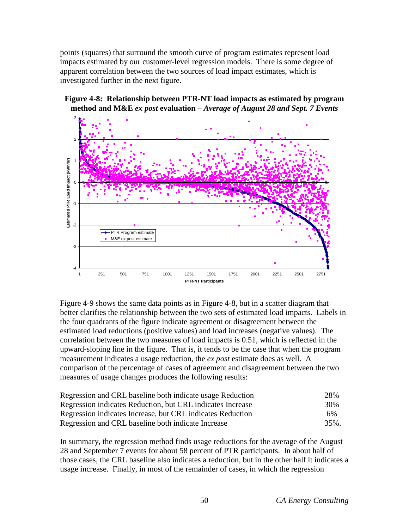points (squares) that surround the smooth curve of program estimates represent load impacts estimated by our customer-level regression models. There is some degree of apparent correlation between the two sources of load impact estimates, which is investigated further in the next figure.



**Figure 4-8: Relationship between PTR-NT load impacts as estimated by program method and M&E** *ex post* **evaluation –** *Average of August 28 and Sept. 7 Events* 

Figure 4-9 shows the same data points as in Figure 4-8, but in a scatter diagram that better clarifies the relationship between the two sets of estimated load impacts. Labels in the four quadrants of the figure indicate agreement or disagreement between the estimated load reductions (positive values) and load increases (negative values). The correlation between the two measures of load impacts is 0.51, which is reflected in the upward-sloping line in the figure. That is, it tends to be the case that when the program measurement indicates a usage reduction, the *ex post* estimate does as well. A comparison of the percentage of cases of agreement and disagreement between the two measures of usage changes produces the following results:

| Regression and CRL baseline both indicate usage Reduction  | 28%  |
|------------------------------------------------------------|------|
| Regression indicates Reduction, but CRL indicates Increase | 30%  |
| Regression indicates Increase, but CRL indicates Reduction | 6%   |
| Regression and CRL baseline both indicate Increase         | 35%. |

In summary, the regression method finds usage reductions for the average of the August 28 and September 7 events for about 58 percent of PTR participants. In about half of those cases, the CRL baseline also indicates a reduction, but in the other half it indicates a usage increase. Finally, in most of the remainder of cases, in which the regression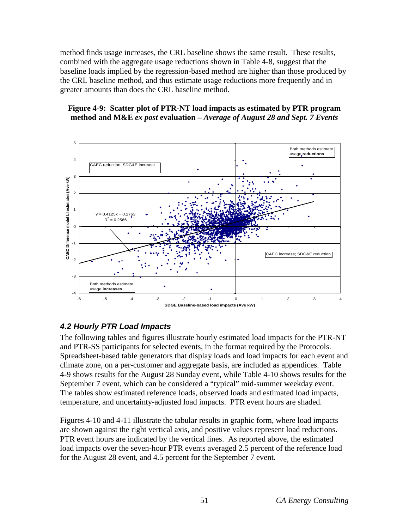method finds usage increases, the CRL baseline shows the same result. These results, combined with the aggregate usage reductions shown in Table 4-8, suggest that the baseline loads implied by the regression-based method are higher than those produced by the CRL baseline method, and thus estimate usage reductions more frequently and in greater amounts than does the CRL baseline method.

#### **Figure 4-9: Scatter plot of PTR-NT load impacts as estimated by PTR program method and M&E** *ex post* **evaluation –** *Average of August 28 and Sept. 7 Events*



## *4.2 Hourly PTR Load Impacts*

The following tables and figures illustrate hourly estimated load impacts for the PTR-NT and PTR-SS participants for selected events, in the format required by the Protocols. Spreadsheet-based table generators that display loads and load impacts for each event and climate zone, on a per-customer and aggregate basis, are included as appendices. Table 4-9 shows results for the August 28 Sunday event, while Table 4-10 shows results for the September 7 event, which can be considered a "typical" mid-summer weekday event. The tables show estimated reference loads, observed loads and estimated load impacts, temperature, and uncertainty-adjusted load impacts. PTR event hours are shaded.

Figures 4-10 and 4-11 illustrate the tabular results in graphic form, where load impacts are shown against the right vertical axis, and positive values represent load reductions. PTR event hours are indicated by the vertical lines. As reported above, the estimated load impacts over the seven-hour PTR events averaged 2.5 percent of the reference load for the August 28 event, and 4.5 percent for the September 7 event.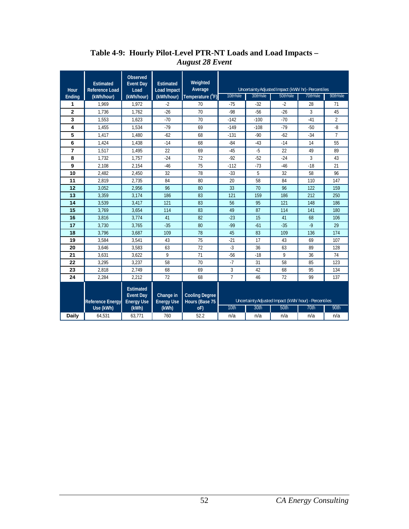| Hour           | <b>Estimated</b><br><b>Reference Load</b> | <b>Observed</b><br><b>Event Day</b><br>Load               | <b>Estimated</b><br><b>Load Impact</b> | Weighted<br>Average                     |                |          | Uncertainty Adjusted Impact (kWh/ hr)- Percentiles   |          |                |
|----------------|-------------------------------------------|-----------------------------------------------------------|----------------------------------------|-----------------------------------------|----------------|----------|------------------------------------------------------|----------|----------------|
| Ending         | (kWh/hour)                                | (kWh/hour)                                                | (kWh/hour)                             | Temperature (°F)                        | 10th%ile       | 30th%ile | 50th%ile                                             | 70th%ile | 90th%ile       |
| 1              | 1.969                                     | 1.972                                                     | $-2$                                   | 70                                      | $-75$          | $-32$    | $-2$                                                 | 28       | 71             |
| $\overline{2}$ | 1.736                                     | 1.762                                                     | $-26$                                  | 70                                      | $-98$          | $-56$    | $-26$                                                | 3        | 45             |
| 3              | 1,553                                     | 1,623                                                     | $-70$                                  | 70                                      | $-142$         | $-100$   | $-70$                                                | $-41$    | $\overline{2}$ |
| 4              | 1,455                                     | 1,534                                                     | $-79$                                  | 69                                      | $-149$         | $-108$   | $-79$                                                | $-50$    | $-8$           |
| 5              | 1.417                                     | 1.480                                                     | $-62$                                  | 68                                      | $-131$         | $-90$    | $-62$                                                | $-34$    | $\overline{7}$ |
| 6              | 1,424                                     | 1,438                                                     | $-14$                                  | 68                                      | $-84$          | $-43$    | $-14$                                                | 14       | 55             |
| $\overline{7}$ | 1,517                                     | 1.495                                                     | 22                                     | 69                                      | $-45$          | $-5$     | 22                                                   | 49       | 89             |
| 8              | 1.732                                     | 1.757                                                     | $-24$                                  | 72                                      | $-92$          | $-52$    | $-24$                                                | 3        | 43             |
| 9              | 2,108                                     | 2,154                                                     | $-46$                                  | 75                                      | $-112$         | $-73$    | $-46$                                                | $-18$    | 21             |
| 10             | 2,482                                     | 2,450                                                     | 32                                     | 78                                      | $-33$          | 5        | 32                                                   | 58       | 96             |
| 11             | 2.819                                     | 2.735                                                     | 84                                     | 80                                      | 20             | 58       | 84                                                   | 110      | 147            |
| 12             | 3.052                                     | 2.956                                                     | 96                                     | 80                                      | 33             | 70       | 96                                                   | 122      | 159            |
| 13             | 3,359                                     | 3,174                                                     | 186                                    | 83                                      | 121            | 159      | 186                                                  | 212      | 250            |
| 14             | 3,539                                     | 3,417                                                     | 121                                    | 83                                      | 56             | 95       | 121                                                  | 148      | 186            |
| 15             | 3,769                                     | 3,654                                                     | 114                                    | 83                                      | 49             | 87       | 114                                                  | 141      | 180            |
| 16             | 3,816                                     | 3,774                                                     | 41                                     | 82                                      | $-23$          | 15       | 41                                                   | 68       | 106            |
| 17             | 3,730                                     | 3,765                                                     | $-35$                                  | 80                                      | $-99$          | $-61$    | $-35$                                                | $-9$     | 29             |
| 18             | 3,796                                     | 3,687                                                     | 109                                    | 78                                      | 45             | 83       | 109                                                  | 136      | 174            |
| 19             | 3,584                                     | 3,541                                                     | 43                                     | 75                                      | $-21$          | 17       | 43                                                   | 69       | 107            |
| 20             | 3,646                                     | 3.583                                                     | 63                                     | 72                                      | $-3$           | 36       | 63                                                   | 89       | 128            |
| 21             | 3,631                                     | 3.622                                                     | 9                                      | 71                                      | $-56$          | $-18$    | 9                                                    | 36       | 74             |
| 22             | 3,295                                     | 3.237                                                     | 58                                     | 70                                      | $-7$           | 31       | 58                                                   | 85       | 123            |
| 23             | 2.818                                     | 2.749                                                     | 68                                     | 69                                      | 3              | 42       | 68                                                   | 95       | 134            |
| 24             | 2,284                                     | 2,212                                                     | 72                                     | 68                                      | $\overline{1}$ | 46       | 72                                                   | 99       | 137            |
|                | <b>Reference Energy</b>                   | <b>Estimated</b><br><b>Event Day</b><br><b>Energy Use</b> | Change in<br><b>Energy Use</b>         | <b>Cooling Degree</b><br>Hours (Base 75 |                |          | Uncertainty Adjusted Impact (kWh/hour) - Percentiles |          |                |
|                | Use (kWh)                                 | (kWh)                                                     | (kWh)                                  | oF)                                     | 10th           | 30th     | 50th                                                 | 70th     | 90th           |
| Daily          | 64,531                                    | 63,771                                                    | 760                                    | 52.2                                    | n/a            | n/a      | n/a                                                  | n/a      | n/a            |

#### **Table 4-9: Hourly Pilot-Level PTR-NT Loads and Load Impacts –** *August 28 Event*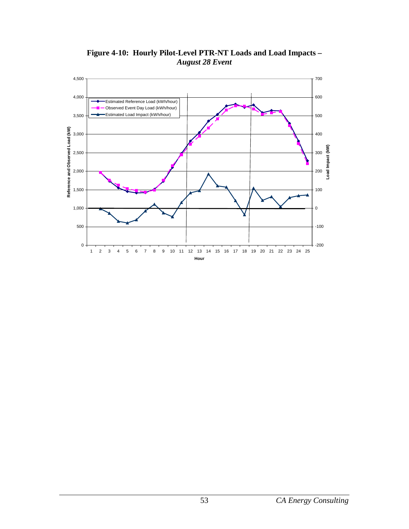

**Figure 4-10: Hourly Pilot-Level PTR-NT Loads and Load Impacts –** *August 28 Event*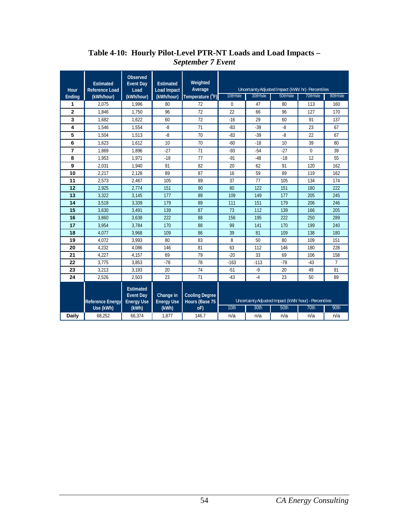| Hour         | <b>Estimated</b><br><b>Reference Load</b> | Observed<br><b>Event Day</b><br>Load                      | <b>Estimated</b><br>Load Impact | Weighted<br>Average                     |              |          | Uncertainty Adjusted Impact (kWh/ hr)- Percentiles    |          |                |
|--------------|-------------------------------------------|-----------------------------------------------------------|---------------------------------|-----------------------------------------|--------------|----------|-------------------------------------------------------|----------|----------------|
| Ending       | (kWh/hour)                                | (kWh/hour)                                                | (kWh/hour)                      | Temperature (°F)                        | 10th%ile     | 30th%ile | 50th%ile                                              | 70th%ile | 90th%ile       |
| 1            | 2.075                                     | 1.996                                                     | 80                              | 72                                      | $\mathbf{0}$ | 47       | 80                                                    | 113      | 160            |
| $\mathbf{2}$ | 1.846                                     | 1.750                                                     | 96                              | 72                                      | 22           | 66       | 96                                                    | 127      | 170            |
| 3            | 1.682                                     | 1,622                                                     | 60                              | 72                                      | $-16$        | 29       | 60                                                    | 91       | 137            |
| 4            | 1,546                                     | 1,554                                                     | $-8$                            | 71                                      | $-83$        | $-39$    | $-8$                                                  | 23       | 67             |
| 5            | 1,504                                     | 1,513                                                     | $-8$                            | 70                                      | $-83$        | $-39$    | $-8$                                                  | 22       | 67             |
| 6            | 1,623                                     | 1,612                                                     | 10                              | 70                                      | $-60$        | $-18$    | 10                                                    | 39       | 80             |
| 7            | 1.869                                     | 1.896                                                     | $-27$                           | 71                                      | $-93$        | $-54$    | $-27$                                                 | 0        | 39             |
| 8            | 1,953                                     | 1.971                                                     | $-18$                           | 77                                      | $-91$        | $-48$    | $-18$                                                 | 12       | 55             |
| 9            | 2,031                                     | 1,940                                                     | 91                              | 82                                      | 20           | 62       | 91                                                    | 120      | 162            |
| 10           | 2,217                                     | 2,128                                                     | 89                              | 87                                      | 16           | 59       | 89                                                    | 119      | 162            |
| 11           | 2.573                                     | 2.467                                                     | 105                             | 89                                      | 37           | 77       | 105                                                   | 134      | 174            |
| 12           | 2.925                                     | 2.774                                                     | 151                             | 90                                      | 80           | 122      | 151                                                   | 180      | 222            |
| 13           | 3.322                                     | 3,145                                                     | 177                             | 89                                      | 109          | 149      | 177                                                   | 205      | 245            |
| 14           | 3,518                                     | 3,339                                                     | 179                             | 89                                      | 111          | 151      | 179                                                   | 206      | 246            |
| 15           | 3.630                                     | 3.491                                                     | 139                             | 87                                      | 73           | 112      | 139                                                   | 166      | 205            |
| 16           | 3.860                                     | 3.638                                                     | 222                             | 88                                      | 156          | 195      | 222                                                   | 250      | 289            |
| 17           | 3.954                                     | 3.784                                                     | 170                             | 88                                      | 99           | 141      | 170                                                   | 199      | 240            |
| 18           | 4.077                                     | 3.968                                                     | 109                             | 86                                      | 39           | 81       | 109                                                   | 138      | 180            |
| 19           | 4.072                                     | 3.993                                                     | 80                              | 83                                      | 8            | 50       | 80                                                    | 109      | 151            |
| 20           | 4.232                                     | 4.086                                                     | 146                             | 81                                      | 63           | 112      | 146                                                   | 180      | 228            |
| 21           | 4.227                                     | 4.157                                                     | 69                              | 79                                      | $-20$        | 33       | 69                                                    | 106      | 158            |
| 22           | 3,775                                     | 3,853                                                     | $-78$                           | 78                                      | $-163$       | $-113$   | $-78$                                                 | $-43$    | $\overline{7}$ |
| 23           | 3,213                                     | 3,193                                                     | 20                              | 74                                      | $-51$        | $-9$     | 20                                                    | 49       | 91             |
| 24           | 2,526                                     | 2,503                                                     | 23                              | 71                                      | $-43$        | $-4$     | 23                                                    | 50       | 89             |
|              | <b>Reference Energy</b>                   | <b>Estimated</b><br><b>Event Day</b><br><b>Energy Use</b> | Change in<br><b>Energy Use</b>  | <b>Cooling Degree</b><br>Hours (Base 75 |              |          | Uncertainty Adjusted Impact (kWh/ hour) - Percentiles |          |                |
|              | Use (kWh)                                 | (kWh)                                                     | (kWh)                           | oF)                                     | 10th         | 30th     | 50th                                                  | 70th     | 90th           |
| <b>Daily</b> | 68,252                                    | 66,374                                                    | 1,877                           | 146.7                                   | n/a          | n/a      | n/a                                                   | n/a      | n/a            |

#### **Table 4-10: Hourly Pilot-Level PTR-NT Loads and Load Impacts –** *September 7 Event*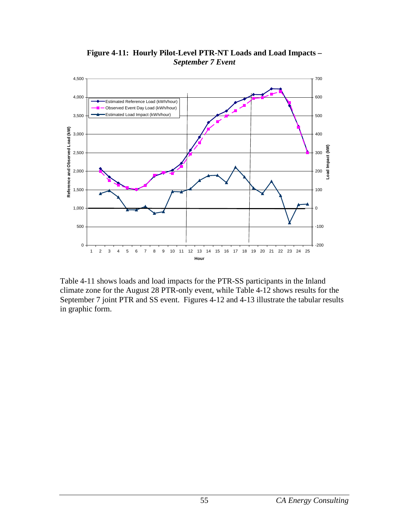

**Figure 4-11: Hourly Pilot-Level PTR-NT Loads and Load Impacts –** *September 7 Event*

Table 4-11 shows loads and load impacts for the PTR-SS participants in the Inland climate zone for the August 28 PTR-only event, while Table 4-12 shows results for the September 7 joint PTR and SS event. Figures 4-12 and 4-13 illustrate the tabular results in graphic form.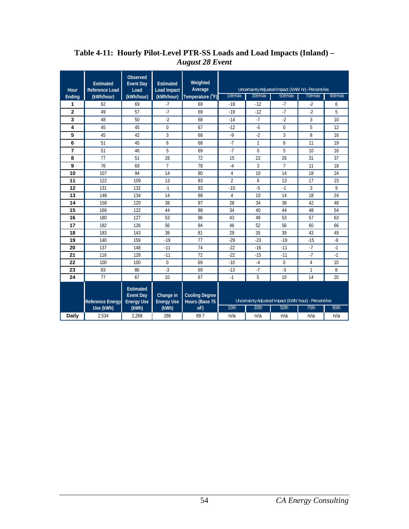| Hour           | <b>Estimated</b><br><b>Reference Load</b> | Observed<br><b>Event Day</b><br>Load                      | <b>Estimated</b><br><b>Load Impact</b> | Weighted<br>Average                     |                |              | Uncertainty Adjusted Impact (kWh/ hr)- Percentiles   |                |          |
|----------------|-------------------------------------------|-----------------------------------------------------------|----------------------------------------|-----------------------------------------|----------------|--------------|------------------------------------------------------|----------------|----------|
| Ending         | (kWh/hour)                                | (kWh/hour)                                                | (kWh/hour)                             | Temperature (°F)                        | 10th%ile       | 30th%ile     | 50th%ile                                             | 70th%ile       | 90th%ile |
| 1              | 62                                        | 69                                                        | $-7$                                   | 69                                      | $-19$          | $-12$        | $-7$                                                 | $-2$           | 6        |
| $\overline{2}$ | 49                                        | 57                                                        | $-7$                                   | 69                                      | $-19$          | $-12$        | $-7$                                                 | $-2$           | 5        |
| 3              | 48                                        | 50                                                        | $-2$                                   | 68                                      | $-14$          | $-7$         | $-2$                                                 | 3              | 10       |
| 4              | 45                                        | 45                                                        | $\mathbf 0$                            | 67                                      | $-12$          | $-5$         | 0                                                    | 5              | 12       |
| 5              | 45                                        | 42                                                        | 3                                      | 68                                      | $-9$           | $-2$         | 3                                                    | 8              | 16       |
| 6              | 51                                        | 45                                                        | 6                                      | 68                                      | $-7$           | $\mathbf{1}$ | 6                                                    | 11             | 19       |
| 7              | 51                                        | 46                                                        | 5                                      | 69                                      | $-7$           | $\Omega$     | 5                                                    | 10             | 16       |
| 8              | 77                                        | 51                                                        | 26                                     | 72                                      | 15             | 22           | 26                                                   | 31             | 37       |
| 9              | 76                                        | 69                                                        | $\overline{7}$                         | 78                                      | $-4$           | 3            | $\overline{7}$                                       | 11             | 18       |
| 10             | 107                                       | 94                                                        | 14                                     | 80                                      | $\overline{4}$ | 10           | 14                                                   | 18             | 24       |
| 11             | 122                                       | 109                                                       | 13                                     | 83                                      | $\overline{2}$ | 8            | 13                                                   | 17             | 23       |
| 12             | 131                                       | 132                                                       | $-1$                                   | 83                                      | $-10$          | $-5$         | $-1$                                                 | 3              | 9        |
| 13             | 148                                       | 134                                                       | 14                                     | 88                                      | $\overline{4}$ | 10           | 14                                                   | 18             | 24       |
| 14             | 158                                       | 120                                                       | 38                                     | 87                                      | 28             | 34           | 38                                                   | 42             | 48       |
| 15             | 166                                       | 122                                                       | 44                                     | 88                                      | 34             | 40           | 44                                                   | 48             | 54       |
| 16             | 180                                       | 127                                                       | 53                                     | 86                                      | 43             | 49           | 53                                                   | 57             | 63       |
| 17             | 182                                       | 126                                                       | 56                                     | 84                                      | 46             | 52           | 56                                                   | 60             | 66       |
| 18             | 183                                       | 143                                                       | 39                                     | 81                                      | 29             | 35           | 39                                                   | 43             | 49       |
| 19             | 140                                       | 159                                                       | $-19$                                  | 77                                      | $-29$          | $-23$        | $-19$                                                | $-15$          | $-9$     |
| 20             | 137                                       | 148                                                       | $-11$                                  | 74                                      | $-22$          | $-16$        | $-11$                                                | $-7$           | $-1$     |
| 21             | 116                                       | 128                                                       | $-11$                                  | 72                                      | $-22$          | $-15$        | $-11$                                                | $-7$           | $-1$     |
| 22             | 100                                       | 100                                                       | $\mathbf 0$                            | 69                                      | $-10$          | $-4$         | 0                                                    | $\overline{4}$ | 10       |
| 23             | 83                                        | 86                                                        | $-3$                                   | 69                                      | $-13$          | $-7$         | $-3$                                                 | $\mathbf{1}$   | 8        |
| 24             | 77                                        | 67                                                        | 10                                     | 67                                      | $-1$           | 5            | 10                                                   | 14             | 20       |
|                | <b>Reference Energy</b>                   | <b>Estimated</b><br><b>Event Day</b><br><b>Energy Use</b> | Change in<br><b>Energy Use</b>         | <b>Cooling Degree</b><br>Hours (Base 75 |                |              | Uncertainty Adjusted Impact (kWh/hour) - Percentiles |                |          |
|                | Use (kWh)                                 | (kWh)                                                     | (kWh)                                  | oF)                                     | 10th           | 30th         | 50th                                                 | 70th           | 90th     |
| Daily          | 2,534                                     | 2,268                                                     | 266                                    | 89.7                                    | n/a            | n/a          | n/a                                                  | n/a            | n/a      |

#### **Table 4-11: Hourly Pilot-Level PTR-SS Loads and Load Impacts (Inland) –** *August 28 Event*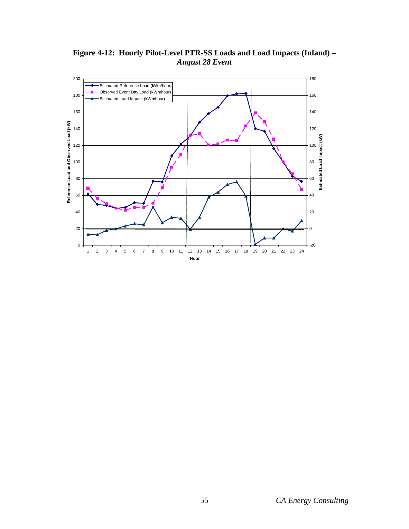**Figure 4-12: Hourly Pilot-Level PTR-SS Loads and Load Impacts (Inland) –** *August 28 Event*

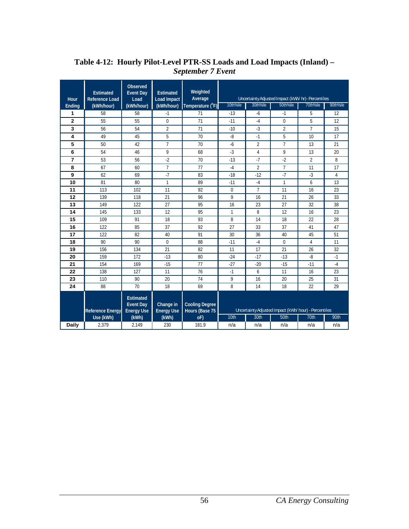| Hour           | <b>Estimated</b><br><b>Reference Load</b> | <b>Observed</b><br><b>Event Day</b><br>Load               | <b>Estimated</b><br><b>Load Impact</b> | Weighted<br>Average                     |              |                | Uncertainty Adjusted Impact (kWh/ hr)- Percentiles   |                |                |
|----------------|-------------------------------------------|-----------------------------------------------------------|----------------------------------------|-----------------------------------------|--------------|----------------|------------------------------------------------------|----------------|----------------|
| Ending         | (kWh/hour)                                | (kWh/hour)                                                | (kWh/hour)                             | Temperature $(^{\circ}F)$               | 10th%ile     | 30th%ile       | 50th%ile                                             | 70th%ile       | 90th%ile       |
| 1              | 58                                        | 58                                                        | $-1$                                   | 71                                      | $-13$        | $-6$           | $-1$                                                 | 5              | 12             |
| $\mathbf{2}$   | 55                                        | 55                                                        | 0                                      | 71                                      | $-11$        | $-4$           | $\boldsymbol{0}$                                     | 5              | 12             |
| 3              | 56                                        | 54                                                        | $\overline{2}$                         | 71                                      | $-10$        | $-3$           | $\overline{2}$                                       | $\overline{7}$ | 15             |
| 4              | 49                                        | 45                                                        | 5                                      | 70                                      | $-8$         | $-1$           | 5                                                    | 10             | 17             |
| 5              | 50                                        | 42                                                        | $\overline{7}$                         | 70                                      | $-6$         | $\overline{2}$ | $\overline{7}$                                       | 13             | 21             |
| 6              | 54                                        | 46                                                        | 9                                      | 68                                      | $-3$         | $\overline{4}$ | 9                                                    | 13             | 20             |
| $\overline{7}$ | 53                                        | 56                                                        | $-2$                                   | 70                                      | $-13$        | $-7$           | $-2$                                                 | $\overline{2}$ | 8              |
| 8              | 67                                        | 60                                                        | $\overline{7}$                         | 77                                      | $-4$         | $\overline{2}$ | $\overline{7}$                                       | 11             | 17             |
| 9              | 62                                        | 69                                                        | $-7$                                   | 83                                      | $-18$        | $-12$          | $-7$                                                 | $-3$           | $\overline{4}$ |
| 10             | 81                                        | 80                                                        | $\mathbf{1}$                           | 89                                      | $-11$        | $-4$           | $\mathbf{1}$                                         | 6              | 13             |
| 11             | 113                                       | 102                                                       | 11                                     | 92                                      | $\mathbf 0$  | $\overline{7}$ | 11                                                   | 16             | 23             |
| 12             | 139                                       | 118                                                       | 21                                     | 96                                      | 9            | 16             | 21                                                   | 26             | 33             |
| 13             | 149                                       | 122                                                       | 27                                     | 95                                      | 16           | 23             | 27                                                   | 32             | 38             |
| 14             | 145                                       | 133                                                       | 12                                     | 95                                      | $\mathbf{1}$ | 8              | 12                                                   | 16             | 23             |
| 15             | 109                                       | 91                                                        | 18                                     | 93                                      | 8            | 14             | 18                                                   | 22             | 28             |
| 16             | 122                                       | 85                                                        | 37                                     | 92                                      | 27           | 33             | 37                                                   | 41             | 47             |
| 17             | 122                                       | 82                                                        | 40                                     | 91                                      | 30           | 36             | 40                                                   | 45             | 51             |
| 18             | 90                                        | 90                                                        | $\Omega$                               | 88                                      | $-11$        | $-4$           | $\Omega$                                             | $\overline{4}$ | 11             |
| 19             | 156                                       | 134                                                       | 21                                     | 82                                      | 11           | 17             | 21                                                   | 26             | 32             |
| 20             | 159                                       | 172                                                       | $-13$                                  | 80                                      | $-24$        | $-17$          | $-13$                                                | $-8$           | $-1$           |
| 21             | 154                                       | 169                                                       | $-15$                                  | 77                                      | $-27$        | $-20$          | $-15$                                                | $-11$          | $-4$           |
| 22             | 138                                       | 127                                                       | 11                                     | 76                                      | $-1$         | 6              | 11                                                   | 16             | 23             |
| 23             | 110                                       | 90                                                        | 20                                     | 74                                      | 9            | 16             | 20                                                   | 25             | 31             |
| 24             | 88                                        | 70                                                        | 18                                     | 69                                      | 8            | 14             | 18                                                   | 22             | 29             |
|                | <b>Reference Energy</b>                   | <b>Estimated</b><br><b>Event Day</b><br><b>Energy Use</b> | Change in<br><b>Energy Use</b>         | <b>Cooling Degree</b><br>Hours (Base 75 |              |                | Uncertainty Adjusted Impact (kWh/hour) - Percentiles |                |                |
|                | Use (kWh)                                 | (kWh)                                                     | (kWh)                                  | oF)                                     | 10th         | 30th           | 50th                                                 | 70th           | 90th           |
| Daily          | 2,379                                     | 2.149                                                     | 230                                    | 181.9                                   | n/a          | n/a            | n/a                                                  | n/a            | n/a            |

### **Table 4-12: Hourly Pilot-Level PTR-SS Loads and Load Impacts (Inland) –** *September 7 Event*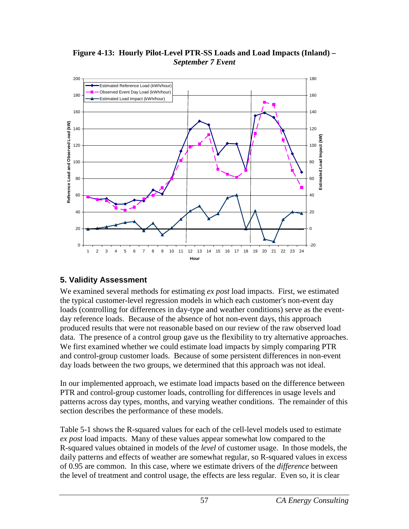#### **Figure 4-13: Hourly Pilot-Level PTR-SS Loads and Load Impacts (Inland) –** *September 7 Event*



## **5. Validity Assessment**

We examined several methods for estimating *ex post* load impacts. First, we estimated the typical customer-level regression models in which each customer's non-event day loads (controlling for differences in day-type and weather conditions) serve as the eventday reference loads. Because of the absence of hot non-event days, this approach produced results that were not reasonable based on our review of the raw observed load data. The presence of a control group gave us the flexibility to try alternative approaches. We first examined whether we could estimate load impacts by simply comparing PTR and control-group customer loads. Because of some persistent differences in non-event day loads between the two groups, we determined that this approach was not ideal.

In our implemented approach, we estimate load impacts based on the difference between PTR and control-group customer loads, controlling for differences in usage levels and patterns across day types, months, and varying weather conditions. The remainder of this section describes the performance of these models.

Table 5-1 shows the R-squared values for each of the cell-level models used to estimate *ex post* load impacts. Many of these values appear somewhat low compared to the R-squared values obtained in models of the *level* of customer usage. In those models, the daily patterns and effects of weather are somewhat regular, so R-squared values in excess of 0.95 are common. In this case, where we estimate drivers of the *difference* between the level of treatment and control usage, the effects are less regular. Even so, it is clear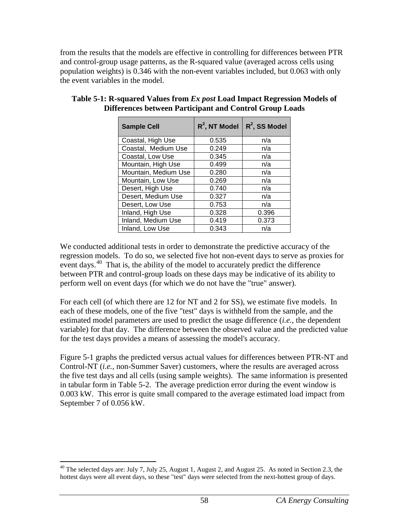from the results that the models are effective in controlling for differences between PTR and control-group usage patterns, as the R-squared value (averaged across cells using population weights) is 0.346 with the non-event variables included, but 0.063 with only the event variables in the model.

| <b>Sample Cell</b>   | $R^2$ , NT Model | $R^2$ , SS Model |
|----------------------|------------------|------------------|
| Coastal, High Use    | 0.535            | n/a              |
| Coastal, Medium Use  | 0.249            | n/a              |
| Coastal, Low Use     | 0.345            | n/a              |
| Mountain, High Use   | 0.499            | n/a              |
| Mountain, Medium Use | 0.280            | n/a              |
| Mountain, Low Use    | 0.269            | n/a              |
| Desert, High Use     | 0.740            | n/a              |
| Desert, Medium Use   | 0.327            | n/a              |
| Desert, Low Use      | 0.753            | n/a              |
| Inland, High Use     | 0.328            | 0.396            |
| Inland, Medium Use   | 0.419            | 0.373            |
| Inland, Low Use      | 0.343            | n/a              |

#### **Table 5-1: R-squared Values from** *Ex post* **Load Impact Regression Models of Differences between Participant and Control Group Loads**

We conducted additional tests in order to demonstrate the predictive accuracy of the regression models. To do so, we selected five hot non-event days to serve as proxies for event days.<sup>40</sup> That is, the ability of the model to accurately predict the difference between PTR and control-group loads on these days may be indicative of its ability to perform well on event days (for which we do not have the "true" answer).

For each cell (of which there are 12 for NT and 2 for SS), we estimate five models. In each of these models, one of the five "test" days is withheld from the sample, and the estimated model parameters are used to predict the usage difference (*i.e.*, the dependent variable) for that day. The difference between the observed value and the predicted value for the test days provides a means of assessing the model's accuracy.

Figure 5-1 graphs the predicted versus actual values for differences between PTR-NT and Control-NT (*i.e.*, non-Summer Saver) customers, where the results are averaged across the five test days and all cells (using sample weights). The same information is presented in tabular form in Table 5-2. The average prediction error during the event window is 0.003 kW. This error is quite small compared to the average estimated load impact from September 7 of 0.056 kW.

<span id="page-64-0"></span><sup>&</sup>lt;sup>40</sup> The selected days are: July 7, July 25, August 1, August 2, and August 25. As noted in Section 2.3, the hottest days were all event days, so these "test" days were selected from the next-hottest group of days.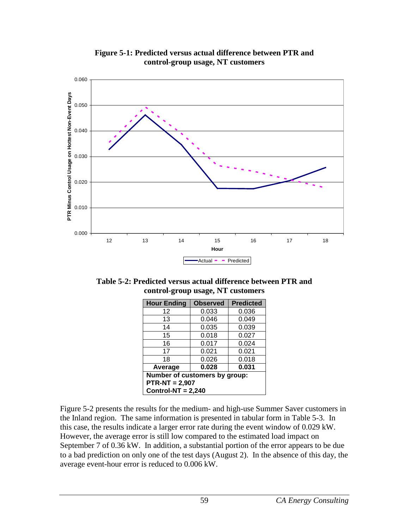

**Figure 5-1: Predicted versus actual difference between PTR and control-group usage, NT customers**

**Table 5-2: Predicted versus actual difference between PTR and control-group usage, NT customers**

| <b>Hour Ending</b>            | <b>Observed</b>      | <b>Predicted</b> |  |  |  |  |
|-------------------------------|----------------------|------------------|--|--|--|--|
| 12                            | 0.033                | 0.036            |  |  |  |  |
| 13                            | 0.046                | 0.049            |  |  |  |  |
| 14                            | 0.035                | 0.039            |  |  |  |  |
| 15                            | 0.018                | 0.027            |  |  |  |  |
| 16                            | 0.017                | 0.024            |  |  |  |  |
| 17                            | 0.021                | 0.021            |  |  |  |  |
| 18                            | 0.026                | 0.018            |  |  |  |  |
| Average                       | 0.028                | 0.031            |  |  |  |  |
| Number of customers by group: |                      |                  |  |  |  |  |
| $PTR-NT = 2,907$              |                      |                  |  |  |  |  |
|                               | Control-NT = $2,240$ |                  |  |  |  |  |

Figure 5-2 presents the results for the medium- and high-use Summer Saver customers in the Inland region. The same information is presented in tabular form in Table 5-3. In this case, the results indicate a larger error rate during the event window of 0.029 kW. However, the average error is still low compared to the estimated load impact on September 7 of 0.36 kW. In addition, a substantial portion of the error appears to be due to a bad prediction on only one of the test days (August 2). In the absence of this day, the average event-hour error is reduced to 0.006 kW.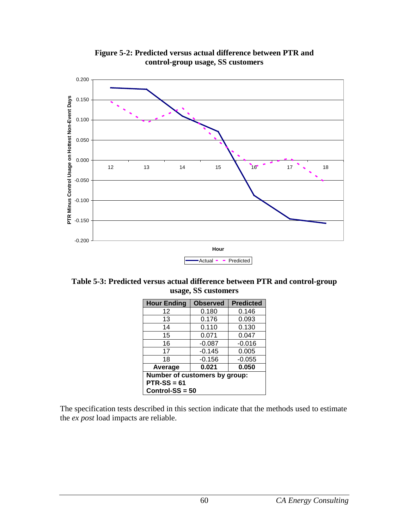

**Figure 5-2: Predicted versus actual difference between PTR and control-group usage, SS customers**

**Table 5-3: Predicted versus actual difference between PTR and control-group usage, SS customers**

| <b>Hour Ending</b>            | <b>Observed</b> | <b>Predicted</b> |  |  |  |
|-------------------------------|-----------------|------------------|--|--|--|
| 12                            | 0.180           | 0.146            |  |  |  |
| 13                            | 0.176           | 0.093            |  |  |  |
| 14                            | 0.110           | 0.130            |  |  |  |
| 15                            | 0.071           | 0.047            |  |  |  |
| 16                            | $-0.087$        | $-0.016$         |  |  |  |
| 17                            | $-0.145$        | 0.005            |  |  |  |
| 18                            | $-0.156$        | $-0.055$         |  |  |  |
| Average                       | 0.021           | 0.050            |  |  |  |
| Number of customers by group: |                 |                  |  |  |  |
| $PTR-SS = 61$                 |                 |                  |  |  |  |
| $Control-SS = 50$             |                 |                  |  |  |  |

The specification tests described in this section indicate that the methods used to estimate the *ex post* load impacts are reliable.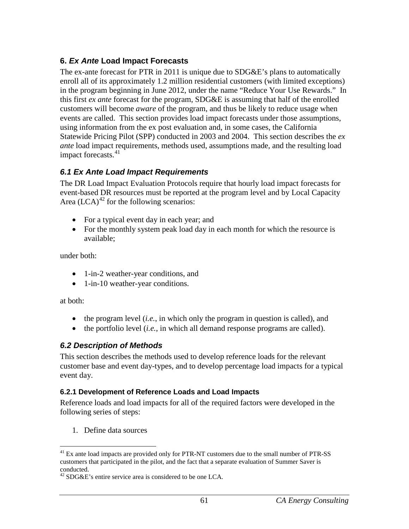## **6.** *Ex Ante* **Load Impact Forecasts**

The ex-ante forecast for PTR in 2011 is unique due to SDG&E's plans to automatically enroll all of its approximately 1.2 million residential customers (with limited exceptions) in the program beginning in June 2012, under the name "Reduce Your Use Rewards." In this first *ex ante* forecast for the program, SDG&E is assuming that half of the enrolled customers will become *aware* of the program, and thus be likely to reduce usage when events are called. This section provides load impact forecasts under those assumptions, using information from the ex post evaluation and, in some cases, the California Statewide Pricing Pilot (SPP) conducted in 2003 and 2004. This section describes the *ex ante* load impact requirements, methods used, assumptions made, and the resulting load impact forecasts.<sup>[41](#page-67-0)</sup>

## *6.1 Ex Ante Load Impact Requirements*

The DR Load Impact Evaluation Protocols require that hourly load impact forecasts for event-based DR resources must be reported at the program level and by Local Capacity Area  $(LCA)^{42}$  $(LCA)^{42}$  $(LCA)^{42}$  for the following scenarios:

- For a typical event day in each year; and
- For the monthly system peak load day in each month for which the resource is available;

under both:

- 1-in-2 weather-year conditions, and
- 1-in-10 weather-year conditions.

at both:

- the program level *(i.e.,* in which only the program in question is called), and
- the portfolio level *(i.e.*, in which all demand response programs are called).

## *6.2 Description of Methods*

This section describes the methods used to develop reference loads for the relevant customer base and event day-types, and to develop percentage load impacts for a typical event day.

## **6.2.1 Development of Reference Loads and Load Impacts**

Reference loads and load impacts for all of the required factors were developed in the following series of steps:

1. Define data sources

<span id="page-67-0"></span> $41$  Ex ante load impacts are provided only for PTR-NT customers due to the small number of PTR-SS customers that participated in the pilot, and the fact that a separate evaluation of Summer Saver is conducted.

<span id="page-67-1"></span> $^{42}$  SDG&E's entire service area is considered to be one LCA.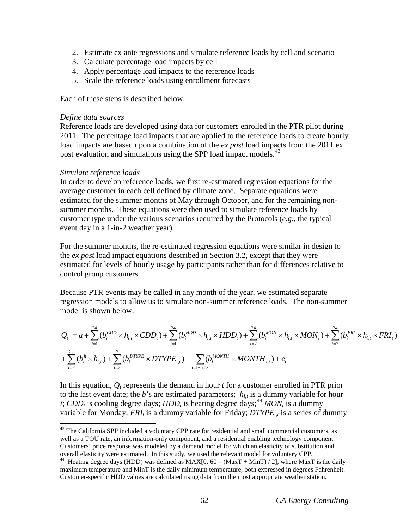- 2. Estimate ex ante regressions and simulate reference loads by cell and scenario
- 3. Calculate percentage load impacts by cell
- 4. Apply percentage load impacts to the reference loads
- 5. Scale the reference loads using enrollment forecasts

Each of these steps is described below.

#### *Define data sources*

Reference loads are developed using data for customers enrolled in the PTR pilot during 2011. The percentage load impacts that are applied to the reference loads to create hourly load impacts are based upon a combination of the *ex post* load impacts from the 2011 ex post evaluation and simulations using the SPP load impact models.<sup>[43](#page-68-0)</sup>

#### *Simulate reference loads*

In order to develop reference loads, we first re-estimated regression equations for the average customer in each cell defined by climate zone. Separate equations were estimated for the summer months of May through October, and for the remaining nonsummer months. These equations were then used to simulate reference loads by customer type under the various scenarios required by the Protocols (*e.g.*, the typical event day in a 1-in-2 weather year).

For the summer months, the re-estimated regression equations were similar in design to the *ex post* load impact equations described in Section 3.2, except that they were estimated for levels of hourly usage by participants rather than for differences relative to control group customers.

Because PTR events may be called in any month of the year, we estimated separate regression models to allow us to simulate non-summer reference loads. The non-summer model is shown below.

$$
\begin{split} &Q_{t}=a+\sum_{i=1}^{24}(b_{i}^{CDD}\times h_{i,t}\times CDD_{t})+\sum_{i=1}^{24}(b_{i}^{HDD}\times h_{i,t}\times HDD_{t})+\sum_{i=2}^{24}(b_{i}^{MON}\times h_{i,t}\times MON_{t})+\sum_{i=2}^{24}(b_{i}^{FRI}\times h_{i,t}\times FRI_{t})\\ &+\sum_{i=2}^{24}(b_{i}^{h}\times h_{i,t})+\sum_{i=2}^{7}(b_{i}^{DTYPE}\times DTYPE_{i,t})+\sum_{i=1-5,12}(b_{i}^{MONTH}\times MONTH_{i,t})+e_{t} \end{split}
$$

In this equation,  $Q_t$  represents the demand in hour  $t$  for a customer enrolled in PTR prior to the last event date; the *b*'s are estimated parameters;  $h_{i,t}$  is a dummy variable for hour *i*; *CDD<sub>t</sub>* is cooling degree days; *HDD<sub>t</sub>* is heating degree days;<sup>[44](#page-68-1)</sup> *MON<sub>t</sub>* is a dummy variable for Monday;  $FRI_t$  is a dummy variable for Friday;  $DTYPE_{i,t}$  is a series of dummy

<span id="page-68-0"></span><sup>&</sup>lt;sup>43</sup> The California SPP included a voluntary CPP rate for residential and small commercial customers, as well as a TOU rate, an information-only component, and a residential enabling technology component. Customers' price response was modeled by a demand model for which an elasticity of substitution and overall elasticity were estimated. In this study, we used the relevant model for voluntary CPP.

<span id="page-68-1"></span><sup>&</sup>lt;sup>44</sup> Heating degree days (HDD) was defined as  $MAX[0, 60 - (MaxT + MinT)/2]$ , where MaxT is the daily maximum temperature and MinT is the daily minimum temperature, both expressed in degrees Fahrenheit. Customer-specific HDD values are calculated using data from the most appropriate weather station.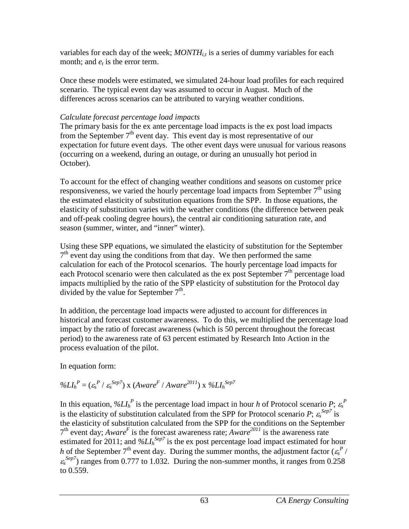variables for each day of the week;  $MONTH_{i,t}$  is a series of dummy variables for each month; and  $e_t$  is the error term.

Once these models were estimated, we simulated 24-hour load profiles for each required scenario. The typical event day was assumed to occur in August. Much of the differences across scenarios can be attributed to varying weather conditions.

## *Calculate forecast percentage load impacts*

The primary basis for the ex ante percentage load impacts is the ex post load impacts from the September  $7<sup>th</sup>$  event day. This event day is most representative of our expectation for future event days. The other event days were unusual for various reasons (occurring on a weekend, during an outage, or during an unusually hot period in October).

To account for the effect of changing weather conditions and seasons on customer price responsiveness, we varied the hourly percentage load impacts from September  $7<sup>th</sup>$  using the estimated elasticity of substitution equations from the SPP. In those equations, the elasticity of substitution varies with the weather conditions (the difference between peak and off-peak cooling degree hours), the central air conditioning saturation rate, and season (summer, winter, and "inner" winter).

Using these SPP equations, we simulated the elasticity of substitution for the September  $7<sup>th</sup>$  event day using the conditions from that day. We then performed the same calculation for each of the Protocol scenarios. The hourly percentage load impacts for each Protocol scenario were then calculated as the ex post September  $7<sup>th</sup>$  percentage load impacts multiplied by the ratio of the SPP elasticity of substitution for the Protocol day divided by the value for September  $7<sup>th</sup>$ .

In addition, the percentage load impacts were adjusted to account for differences in historical and forecast customer awareness. To do this, we multiplied the percentage load impact by the ratio of forecast awareness (which is 50 percent throughout the forecast period) to the awareness rate of 63 percent estimated by Research Into Action in the process evaluation of the pilot.

In equation form:

$$
\%LI_h^P = (\varepsilon_s^P / \varepsilon_s^{Sep7}) \times (Aware^F / Aware^{2011}) \times \%LI_h^{Sep7}
$$

In this equation,  $\mathscr{D}LI_{h}^{P}$  is the percentage load impact in hour *h* of Protocol scenario *P*;  $\varepsilon_{s}^{P}$ is the elasticity of substitution calculated from the SPP for Protocol scenario *P*;  $\varepsilon_s^{Sep7}$  is the elasticity of substitution calculated from the SPP for the conditions on the September  $7<sup>th</sup>$  event day; *Aware<sup>F</sup>* is the forecast awareness rate; *Aware*<sup>2011</sup> is the awareness rate estimated for 2011; and  $\frac{\partial}{\partial L_l}$ <sup>Sep7</sup> is the ex post percentage load impact estimated for hour *h* of the September  $7<sup>th</sup>$  event day. During the summer months, the adjustment factor ( $\varepsilon_s^P$  /  $\varepsilon_s^{Sep7}$ ) ranges from 0.777 to 1.032. During the non-summer months, it ranges from 0.258 to 0.559.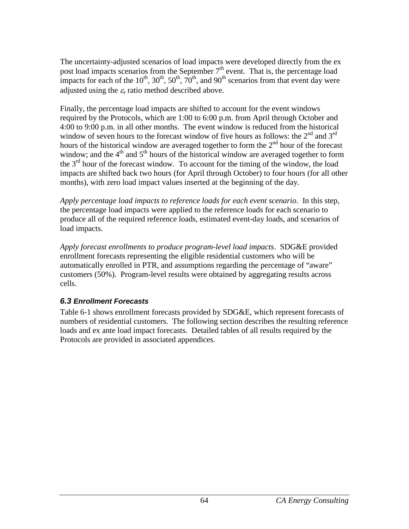The uncertainty-adjusted scenarios of load impacts were developed directly from the ex post load impacts scenarios from the September  $7<sup>th</sup>$  event. That is, the percentage load impacts for each of the  $10^{th}$ ,  $30^{th}$ ,  $50^{th}$ ,  $70^{th}$ , and  $90^{th}$  scenarios from that event day were adjusted using the <sup>ε</sup>*<sup>s</sup>* ratio method described above.

Finally, the percentage load impacts are shifted to account for the event windows required by the Protocols, which are 1:00 to 6:00 p.m. from April through October and 4:00 to 9:00 p.m. in all other months. The event window is reduced from the historical window of seven hours to the forecast window of five hours as follows: the  $2<sup>nd</sup>$  and  $3<sup>rd</sup>$ hours of the historical window are averaged together to form the  $2<sup>nd</sup>$  hour of the forecast window; and the  $4<sup>th</sup>$  and  $5<sup>th</sup>$  hours of the historical window are averaged together to form the  $3<sup>rd</sup>$  hour of the forecast window. To account for the timing of the window, the load impacts are shifted back two hours (for April through October) to four hours (for all other months), with zero load impact values inserted at the beginning of the day.

*Apply percentage load impacts to reference loads for each event scenario*. In this step, the percentage load impacts were applied to the reference loads for each scenario to produce all of the required reference loads, estimated event-day loads, and scenarios of load impacts.

*Apply forecast enrollments to produce program-level load impacts*. SDG&E provided enrollment forecasts representing the eligible residential customers who will be automatically enrolled in PTR, and assumptions regarding the percentage of "aware" customers (50%). Program-level results were obtained by aggregating results across cells.

## *6.3 Enrollment Forecasts*

Table 6-1 shows enrollment forecasts provided by SDG&E, which represent forecasts of numbers of residential customers. The following section describes the resulting reference loads and ex ante load impact forecasts. Detailed tables of all results required by the Protocols are provided in associated appendices.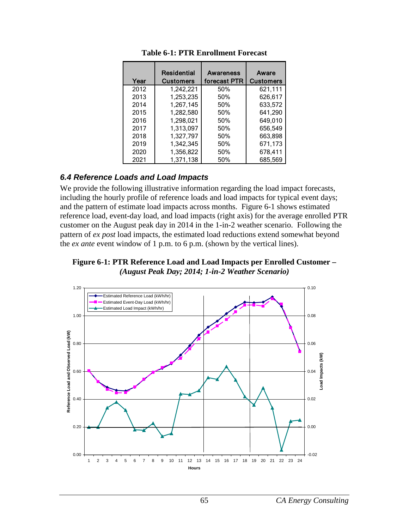| Year | Residential<br><b>Customers</b> | Awareness<br>forecast PTR | Aware<br><b>Customers</b> |
|------|---------------------------------|---------------------------|---------------------------|
| 2012 | 1,242,221                       | 50%                       | 621.111                   |
| 2013 | 1,253,235                       | 50%                       | 626,617                   |
| 2014 | 1,267,145                       | 50%                       | 633.572                   |
| 2015 | 1,282,580                       | 50%                       | 641,290                   |
| 2016 | 1,298,021                       | 50%                       | 649,010                   |
| 2017 | 1,313,097                       | 50%                       | 656,549                   |
| 2018 | 1,327,797                       | 50%                       | 663,898                   |
| 2019 | 1,342,345                       | 50%                       | 671,173                   |
| 2020 | 1,356,822                       | 50%                       | 678,411                   |
| 2021 | 1,371,138                       | 50%                       | 685,569                   |

**Table 6-1: PTR Enrollment Forecast**

#### *6.4 Reference Loads and Load Impacts*

We provide the following illustrative information regarding the load impact forecasts, including the hourly profile of reference loads and load impacts for typical event days; and the pattern of estimate load impacts across months. Figure 6-1 shows estimated reference load, event-day load, and load impacts (right axis) for the average enrolled PTR customer on the August peak day in 2014 in the 1-in-2 weather scenario. Following the pattern of *ex post* load impacts, the estimated load reductions extend somewhat beyond the *ex ante* event window of 1 p.m. to 6 p.m. (shown by the vertical lines).

**Figure 6-1: PTR Reference Load and Load Impacts per Enrolled Customer –** *(August Peak Day; 2014; 1-in-2 Weather Scenario)*

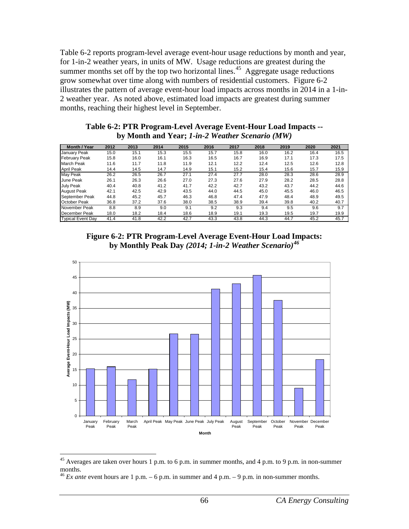Table 6-2 reports program-level average event-hour usage reductions by month and year, for 1-in-2 weather years, in units of MW. Usage reductions are greatest during the summer months set off by the top two horizontal lines.<sup>[45](#page-72-0)</sup> Aggregate usage reductions grow somewhat over time along with numbers of residential customers. Figure 6-2 illustrates the pattern of average event-hour load impacts across months in 2014 in a 1-in-2 weather year. As noted above, estimated load impacts are greatest during summer months, reaching their highest level in September.

| Table 6-2: PTR Program-Level Average Event-Hour Load Impacts -- |
|-----------------------------------------------------------------|
| by Month and Year; 1-in-2 Weather Scenario (MW)                 |

| <b>Month / Year</b>      | 2012 | 2013 | 2014 | 2015 | 2016 | 2017 | 2018 | 2019 | 2020 | 2021 |
|--------------------------|------|------|------|------|------|------|------|------|------|------|
| January Peak             | 15.0 | 15.1 | 15.3 | 15.5 | 15.7 | 15.8 | 16.0 | 16.2 | 16.4 | 16.5 |
| <b>February Peak</b>     | 15.8 | 16.0 | 16.1 | 16.3 | 16.5 | 16.7 | 16.9 | 17.1 | 17.3 | 17.5 |
| March Peak               | 11.6 | 11.7 | 11.8 | 11.9 | 12.1 | 12.2 | 12.4 | 12.5 | 12.6 | 12.8 |
| <b>April Peak</b>        | 14.4 | 14.5 | 14.7 | 14.9 | 15.1 | 15.2 | 15.4 | 15.6 | 15.7 | 15.9 |
| May Peak                 | 26.2 | 26.5 | 26.7 | 27.1 | 27.4 | 27.7 | 28.0 | 28.3 | 28.6 | 28.9 |
| <b>June Peak</b>         | 26.1 | 26.3 | 26.6 | 27.0 | 27.3 | 27.6 | 27.9 | 28.2 | 28.5 | 28.8 |
| <b>July Peak</b>         | 40.4 | 40.8 | 41.2 | 41.7 | 42.2 | 42.7 | 43.2 | 43.7 | 44.2 | 44.6 |
| <b>August Peak</b>       | 42.1 | 42.5 | 42.9 | 43.5 | 44.0 | 44.5 | 45.0 | 45.5 | 46.0 | 46.5 |
| September Peak           | 44.8 | 45.2 | 45.7 | 46.3 | 46.8 | 47.4 | 47.9 | 48.4 | 48.9 | 49.5 |
| <b>October Peak</b>      | 36.8 | 37.2 | 37.6 | 38.0 | 38.5 | 38.9 | 39.4 | 39.8 | 40.2 | 40.7 |
| November Peak            | 8.8  | 8.9  | 9.0  | 9.1  | 9.2  | 9.3  | 9.4  | 9.5  | 9.6  | 9.7  |
| December Peak            | 18.0 | 18.2 | 18.4 | 18.6 | 18.9 | 19.1 | 19.3 | 19.5 | 19.7 | 19.9 |
| <b>Typical Event Day</b> | 41.4 | 41.8 | 42.2 | 42.7 | 43.3 | 43.8 | 44.3 | 44.7 | 45.2 | 45.7 |





<span id="page-72-0"></span> <sup>45</sup> Averages are taken over hours 1 p.m. to 6 p.m. in summer months, and 4 p.m. to 9 p.m. in non-summer months.

<span id="page-72-1"></span> $46$  *Ex ante* event hours are 1 p.m. – 6 p.m. in summer and 4 p.m. – 9 p.m. in non-summer months.